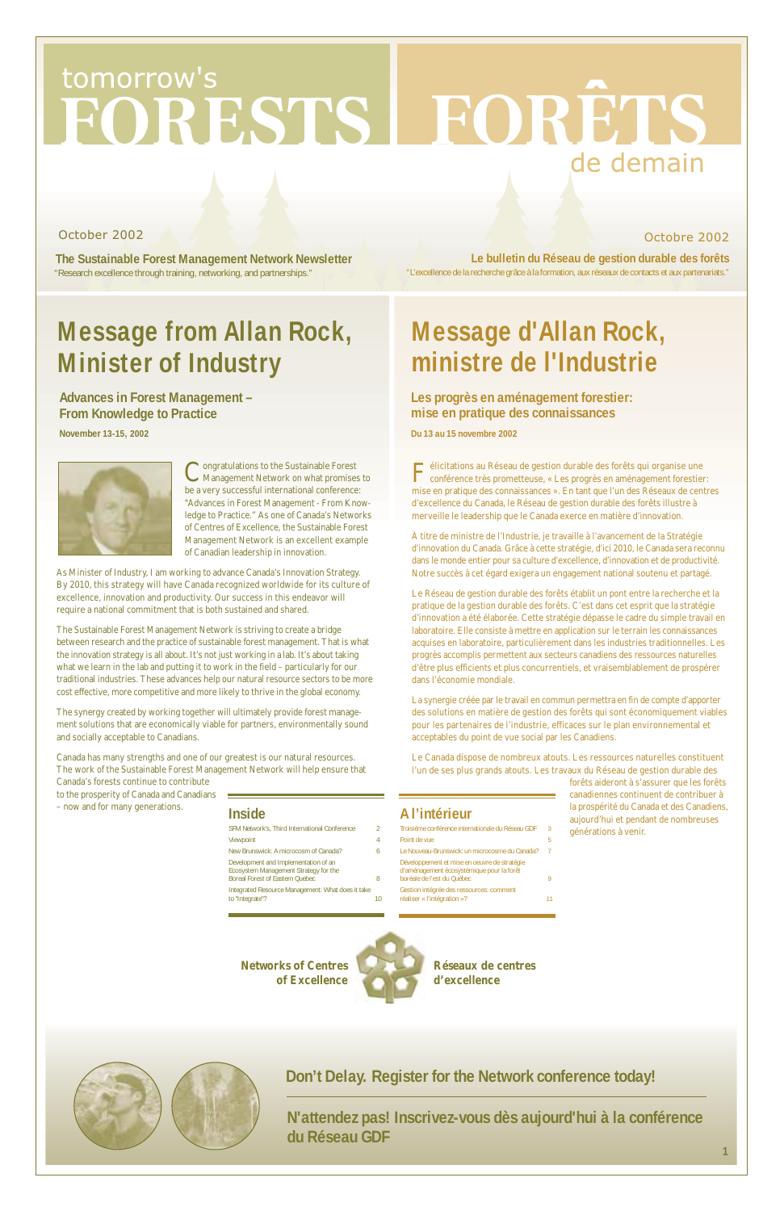$\mathbf{F}$ élicitations au Réseau de gestion durable des forêts qui organise une conférence très prometteuse, « Les progrès en aménagement forestier: mise en pratique des connaissances ». En tant que l'un des Réseaux de centres d'excellence du Canada, le Réseau de gestion durable des forêts illustre à merveille le leadership que le Canada exerce en matière d'innovation.

À titre de ministre de l'Industrie, je travaille à l'avancement de la Stratégie d'innovation du Canada. Grâce à cette stratégie, d'ici 2010, le Canada sera reconnu dans le monde entier pour sa culture d'excellence, d'innovation et de productivité. Notre succès à cet égard exigera un engagement national soutenu et partagé.

Le Réseau de gestion durable des forêts établit un pont entre la recherche et la pratique de la gestion durable des forêts. C'est dans cet esprit que la stratégie d'innovation a été élaborée. Cette stratégie dépasse le cadre du simple travail en laboratoire. Elle consiste à mettre en application sur le terrain les connaissances acquises en laboratoire, particulièrement dans les industries traditionnelles. Les progrès accomplis permettent aux secteurs canadiens des ressources naturelles d'être plus efficients et plus concurrentiels, et vraisemblablement de prospérer dans l'économie mondiale.

Congratulations to the Sustainable Forest<br>Management Network on what promises to be a very successful international conference: "Advances in Forest Management - From Knowledge to Practice." As one of Canada's Networks of Centres of Excellence, the Sustainable Forest Management Network is an excellent example of Canadian leadership in innovation.

> La synergie créée par le travail en commun permettra en fin de compte d'apporter des solutions en matière de gestion des forêts qui sont économiquement viables pour les partenaires de l'industrie, efficaces sur le plan environnemental et acceptables du point de vue social par les Canadiens.

> Le Canada dispose de nombreux atouts. Les ressources naturelles constituent l'un de ses plus grands atouts. Les travaux du Réseau de gestion durable des

> > forêts aideront à s'assurer que les forêts canadiennes continuent de contribuer à la prospérité du Canada et des Canadiens, aujourd'hui et pendant de nombreuses générations à venir.

# tomorrow's FORESTS LEORETS de demain

**The Sustainable Forest Management Network Newsletter** "Research excellence through training, networking, and partnerships."

### October 2002 Octobre 2002

"L'excellence de la recherche grâce à la formation, aux réseaux de contacts et aux partenariats." **Le bulletin du Réseau de gestion durable des forêts**

As Minister of Industry, I am working to advance Canada's Innovation Strategy. By 2010, this strategy will have Canada recognized worldwide for its culture of excellence, innovation and productivity. Our success in this endeavor will require a national commitment that is both sustained and shared.

The Sustainable Forest Management Network is striving to create a bridge between research and the practice of sustainable forest management. That is what the innovation strategy is all about. It's not just working in a lab. It's about taking what we learn in the lab and putting it to work in the field – particularly for our traditional industries. These advances help our natural resource sectors to be more cost effective, more competitive and more likely to thrive in the global economy.

The synergy created by working together will ultimately provide forest management solutions that are economically viable for partners, environmentally sound and socially acceptable to Canadians.

Canada has many strengths and one of our greatest is our natural resources. The work of the Sustainable Forest Management Network will help ensure that Canada's forests continue to contribute

to the prosperity of Canada and Canadians – now and for many generations.

**1**

### **Inside**

| inside                                                                                                                                                                                                                         |   |
|--------------------------------------------------------------------------------------------------------------------------------------------------------------------------------------------------------------------------------|---|
| SFM Network's. Third International Conference                                                                                                                                                                                  | 2 |
| Viewpoint                                                                                                                                                                                                                      | 4 |
| New Brunswick: A microcosm of Canada?                                                                                                                                                                                          | 6 |
| Development and Implementation of an<br>Ecosystem Management Strategy for the<br><b>Boreal Forest of Eastern Quebec</b>                                                                                                        |   |
| The formal control of the control of the control of the control of the control of the control of the control of the control of the control of the control of the control of the control of the control of the control of the c |   |

### **A l'intérieur**

- Troisième conférence internationale du Réseau GDF 3 Point de vue Le Nouveau-Brunswick: un microcosme du Canada? 7 Développement et mise en oeuvre de stratégie
- d'aménagement écosystémique pour la forêt boréale de l'est du Québec 9



**Advances in Forest Management – From Knowledge to Practice**

**November 13-15, 2002**



### **Les progrès en aménagement forestier: mise en pratique des connaissances**

**Du 13 au 15 novembre 2002**

**N'attendez pas! Inscrivez-vous dès aujourd'hui à la conférence du Réseau GDF**

# **Message from Allan Rock, Minister of Industry**

# **Message d'Allan Rock, ministre de l'Industrie**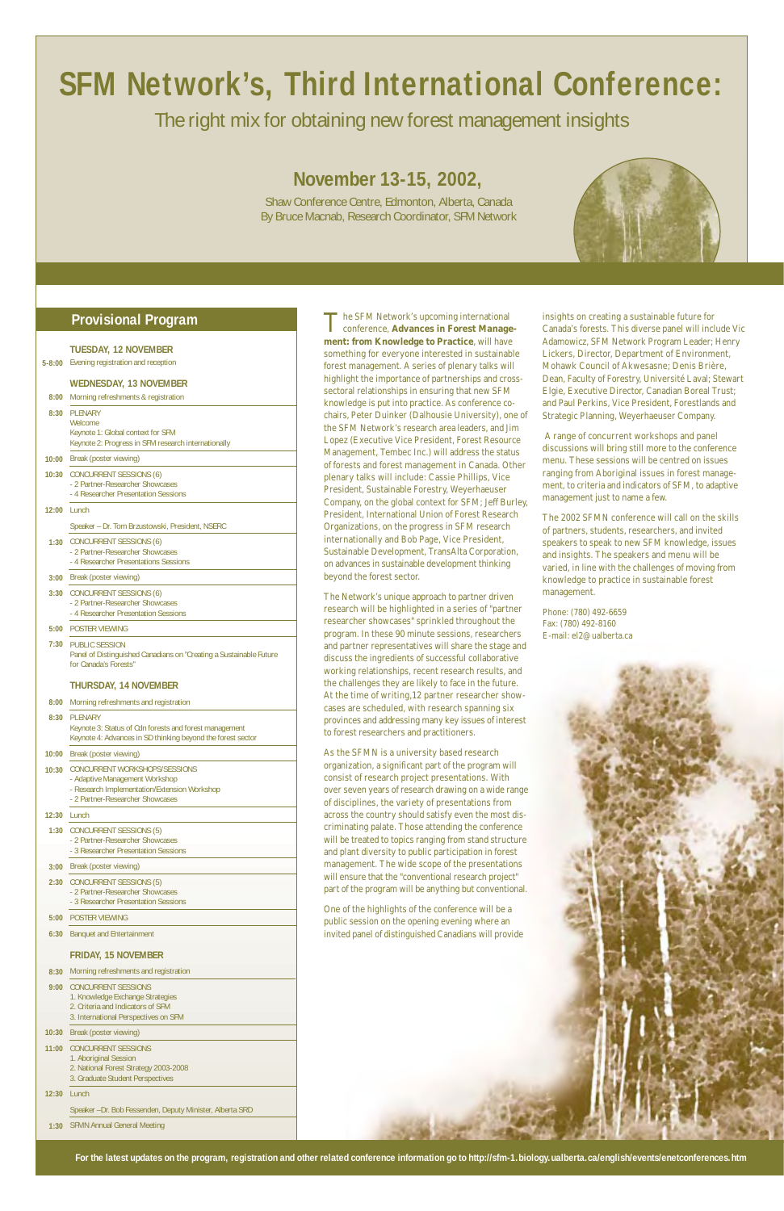# **SFM Network's, Third International Conference:**

### The right mix for obtaining new forest management insights

### **November 13-15, 2002,**

Shaw Conference Centre, Edmonton, Alberta, Canada By Bruce Macnab, Research Coordinator, SFM Network



The SFM Network's upcoming international conference, **Advances in Forest Management: from Knowledge to Practice**, will have something for everyone interested in sustainable forest management. A series of plenary talks will highlight the importance of partnerships and crosssectoral relationships in ensuring that new SFM knowledge is put into practice. As conference cochairs, Peter Duinker (Dalhousie University), one of the SFM Network's research area leaders, and Jim Lopez (Executive Vice President, Forest Resource Management, Tembec Inc.) will address the status of forests and forest management in Canada. Other plenary talks will include: Cassie Phillips, Vice President, Sustainable Forestry, Weyerhaeuser Company, on the global context for SFM; Jeff Burley, President, International Union of Forest Research Organizations, on the progress in SFM research internationally and Bob Page, Vice President, Sustainable Development, TransAlta Corporation, on advances in sustainable development thinking beyond the forest sector.

The Network's unique approach to partner driven research will be highlighted in a series of "partner researcher showcases" sprinkled throughout the program. In these 90 minute sessions, researchers and partner representatives will share the stage and discuss the ingredients of successful collaborative working relationships, recent research results, and the challenges they are likely to face in the future. At the time of writing,12 partner researcher showcases are scheduled, with research spanning six provinces and addressing many key issues of interest to forest researchers and practitioners.

#### **8:30** PLENARY **Welcome**

As the SFMN is a university based research organization, a significant part of the program will consist of research project presentations. With over seven years of research drawing on a wide range of disciplines, the variety of presentations from across the country should satisfy even the most discriminating palate. Those attending the conference will be treated to topics ranging from stand structure and plant diversity to public participation in forest management. The wide scope of the presentations will ensure that the "conventional research project"



One of the highlights of the conference will be a public session on the opening evening where an invited panel of distinguished Canadians will provide

- 2 Partner-Researcher Showcases
- 3 Researcher Presentation Sessions
- **5:00** POSTER VIEWING
- **6:30** Banquet and Entertainment

insights on creating a sustainable future for Canada's forests. This diverse panel will include Vic Adamowicz, SFM Network Program Leader; Henry Lickers, Director, Department of Environment, Mohawk Council of Akwesasne; Denis Brière, Dean, Faculty of Forestry, Université Laval; Stewart Elgie, Executive Director, Canadian Boreal Trust; and Paul Perkins, Vice President, Forestlands and Strategic Planning, Weyerhaeuser Company.

A range of concurrent workshops and panel discussions will bring still more to the conference menu. These sessions will be centred on issues ranging from Aboriginal issues in forest management, to criteria and indicators of SFM, to adaptive management just to name a few.

The 2002 SFMN conference will call on the skills of partners, students, researchers, and invited speakers to speak to new SFM knowledge, issues and insights. The speakers and menu will be varied, in line with the challenges of moving from knowledge to practice in sustainable forest management.

Phone: (780) 492-6659 Fax: (780) 492-8160 E-mail: el2@ualberta.ca

| Morning refreshments & registration |
|-------------------------------------|
|                                     |

### **Provisional Program**

- **TUESDAY, 12 NOVEMBER**
- **5-8:00** Evening registration and reception

#### **10:00** Break (poster viewing)

#### **WEDNESDAY, 13 NOVEMBER**

- **10:30** CONCURRENT SESSIONS (6)
	- 2 Partner-Researcher Showcases - 4 Researcher Presentation Sessions

#### **12:00** Lunch

**1:30** CONCURRENT SESSIONS (6) - 2 Partner-Researcher Showcases - 4 Researcher Presentations Sessions

Keynote 1: Global context for SFM Keynote 2: Progress in SFM research internationally

#### **3:00** Break (poster viewing)

- **3:30** CONCURRENT SESSIONS (6) - 2 Partner-Researcher Showcases - 4 Researcher Presentation Sessions
- **5:00** POSTER VIEWING
- **7:30** PUBLIC SESSION

| 8:00 | Morning refreshments and registration |  |
|------|---------------------------------------|--|
|      |                                       |  |

Speaker – Dr. Tom Brzustowski, President, NSERC

| 8:30  | PLENARY<br>Keynote 3: Status of Cdn forests and forest management                                               |
|-------|-----------------------------------------------------------------------------------------------------------------|
|       | Keynote 4: Advances in SD thinking beyond the forest sector                                                     |
| 10:00 | Break (poster viewing)                                                                                          |
| 10:30 | CONCURRENT WORKSHOPS/SESSIONS<br>- Adaptive Management Workshop<br>- Research Implementation/Extension Workshop |

### **12:30** Lunch **1:30** CONCURRENT SESSIONS (5) - 2 Partner-Researcher Showcases

- **3:00** Break (poster viewing) - 2 Partner-Researcher Showcases - 3 Researcher Presentation Sessions
- 
- **2:30** CONCURRENT SESSIONS (5)

**8:30** Morning refreshments and registration

#### **9:00** CONCURRENT SESSIONS

Panel of Distinguished Canadians on "Creating a Sustainable Future for Canada's Forests"

#### **THURSDAY, 14 NOVEMBER**

#### **FRIDAY, 15 NOVEMBER**

- 1. Knowledge Exchange Strategies
- 2. Criteria and Indicators of SFM
- 3. International Perspectives on SFM
- **10:30** Break (poster viewing)
- **11:00** CONCURRENT SESSIONS 1. Aboriginal Session 2. National Forest Strategy 2003-2008 3. Graduate Student Perspectives
- **12:30** Lunch
	- Speaker –Dr. Bob Fessenden, Deputy Minister, Alberta SRD
- **1:30** SFMN Annual General Meeting

**For the latest updates on the program, registration and other related conference information go to http://sfm-1.biology.ualberta.ca/english/events/enetconferences.htm**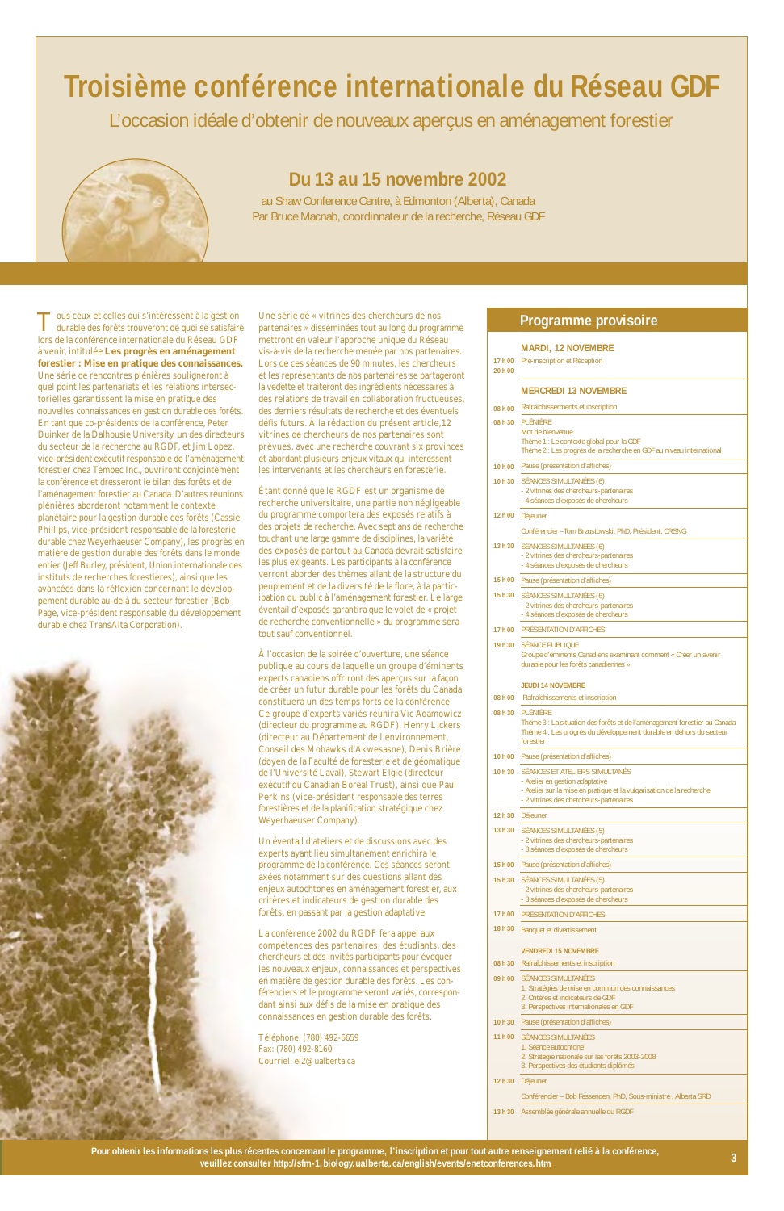# **Troisième conférence internationale du Réseau GDF**

L'occasion idéale d'obtenir de nouveaux aperçus en aménagement forestier



### **Du 13 au 15 novembre 2002**

au Shaw Conference Centre, à Edmonton (Alberta), Canada Par Bruce Macnab, coordinnateur de la recherche, Réseau GDF

Tous ceux et celles qui s'intéressent à la gestion durable des forêts trouveront de quoi se satisfaire lors de la conférence internationale du Réseau GDF à venir, intitulée **Les progrès en aménagement forestier : Mise en pratique des connaissances.** Une série de rencontres plénières souligneront à quel point les partenariats et les relations intersectorielles garantissent la mise en pratique des nouvelles connaissances en gestion durable des forêts. En tant que co-présidents de la conférence, Peter Duinker de la Dalhousie University, un des directeurs du secteur de la recherche au RGDF, et Jim Lopez, vice-président exécutif responsable de l'aménagement forestier chez Tembec Inc., ouvriront conjointement la conférence et dresseront le bilan des forêts et de l'aménagement forestier au Canada. D'autres réunions plénières aborderont notamment le contexte planétaire pour la gestion durable des forêts (Cassie Phillips, vice-président responsable de la foresterie durable chez Weyerhaeuser Company), les progrès en matière de gestion durable des forêts dans le monde entier (Jeff Burley, président, Union internationale des instituts de recherches forestières), ainsi que les avancées dans la réflexion concernant le développement durable au-delà du secteur forestier (Bob Page, vice-président responsable du développement durable chez TransAlta Corporation).



Une série de « vitrines des chercheurs de nos partenaires » disséminées tout au long du programme mettront en valeur l'approche unique du Réseau vis-à-vis de la recherche menée par nos partenaires. Lors de ces séances de 90 minutes, les chercheurs et les représentants de nos partenaires se partageront la vedette et traiteront des ingrédients nécessaires à des relations de travail en collaboration fructueuses, des derniers résultats de recherche et des éventuels défis futurs. À la rédaction du présent article,12 vitrines de chercheurs de nos partenaires sont prévues, avec une recherche couvrant six provinces et abordant plusieurs enjeux vitaux qui intéressent les intervenants et les chercheurs en foresterie.

Étant donné que le RGDF est un organisme de recherche universitaire, une partie non négligeable du programme comportera des exposés relatifs à des projets de recherche. Avec sept ans de recherche touchant une large gamme de disciplines, la variété des exposés de partout au Canada devrait satisfaire les plus exigeants. Les participants à la conférence verront aborder des thèmes allant de la structure du peuplement et de la diversité de la flore, à la participation du public à l'aménagement forestier. Le large éventail d'exposés garantira que le volet de « projet de recherche conventionnelle » du programme sera tout sauf conventionnel.

À l'occasion de la soirée d'ouverture, une séance publique au cours de laquelle un groupe d'éminents experts canadiens offriront des aperçus sur la façon de créer un futur durable pour les forêts du Canada constituera un des temps forts de la conférence. Ce groupe d'experts variés réunira Vic Adamowicz (directeur du programme au RGDF), Henry Lickers (directeur au Département de l'environnement, Conseil des Mohawks d'Akwesasne), Denis Brière (doyen de la Faculté de foresterie et de géomatique de l'Université Laval), Stewart Elgie (directeur exécutif du Canadian Boreal Trust), ainsi que Paul Perkins (vice-président responsable des terres forestières et de la planification stratégique chez Weyerhaeuser Company).

Un éventail d'ateliers et de discussions avec des experts ayant lieu simultanément enrichira le programme de la conférence. Ces séances seront axées notamment sur des questions allant des enjeux autochtones en aménagement forestier, au critères et indicateurs de gestion durable des forêts, en passant par la gestion adaptative.

La conférence 2002 du RGDF fera appel aux compétences des partenaires, des étudiants, des chercheurs et des invités participants pour évoquer les nouveaux enjeux, connaissances et perspectives en matière de gestion durable des forêts. Les conférenciers et le programme seront variés, correspondant ainsi aux défis de la mise en pratique des connaissances en gestion durable des forêts.

Téléphone: (780) 492-6659 Fax: (780) 492-8160 Courriel: el2@ualberta.ca

#### **17 h 00** Pré-inscription et Réception **20 h 00 08 h 00** Rafraîchisserments et inscription **08 h 30** PLÉNIÈRE **10 h 00** Pause (présentation d'affiches) **10 h 30** SÉANCES SIMULTANÉES (6) **12 h 00** Déjeuner **13 h 30** SÉANCES SIMULTANÉES (6) **15 h 00** Pause (présentation d'affiches) **15 h 30** SÉANCES SIMULTANÉES (6) **17 h 00** PRÉSENTATION D'AFFICHES **19 h 30** SÉANCE PUBLIQUE **08 h 00** Rafraîchissements et inscription **08 h 30** PLÉNIÈRE **10 h 00** Pause (présentation d'affiches) **10 h 30** SÉANCES ET ATELIERS SIMULTANÉS **12 h 30** Déjeuner **13 h 30** SÉANCES SIMULTANÉES (5) **MARDI, 12 NOVEMBRE MERCREDI 13 NOVEMBRE** Mot de bienvenue Thème 1 : Le contexte global pour la GDF Thème 2 : Les progrès de la recherche en GDF au niveau international - 2 vitrines des chercheurs-partenaires - 4 séances d'exposés de chercheurs Conférencier –Tom Brzustowski, PhD, Président, CRSNG - 2 vitrines des chercheurs-partenaires - 4 séances d'exposés de chercheurs - 2 vitrines des chercheurs-partenaires - 4 séances d'exposés de chercheurs Groupe d'éminents Canadiens examinant comment « Créer un avenir durable pour les forêts canadiennes » **JEUDI 14 NOVEMBRE** Thème 3 : La situation des forêts et de l'aménagement forestier au Canada Thème 4 : Les progrès du développement durable en dehors du secteur forestier - Atelier en gestion adaptative - Atelier sur la mise en pratique et la vulgarisation de la recherche - 2 vitrines des chercheurs-partenaires - 2 vitrines des chercheurs-partenaires - 3 séances d'exposés de chercheurs

**15 h 00** Pause (présentation d'affiches) **15 h 30** SÉANCES SIMULTANÉES (5)

|         | - 2 vitrines des chercheurs-partenaires<br>- 3 séances d'exposés de chercheurs   |
|---------|----------------------------------------------------------------------------------|
|         | 17 h 00 PRÉSENTATION D'AFFICHES                                                  |
| 18 h 30 | Banquet et divertissement                                                        |
|         | <b>VENDREDI 15 NOVEMBRE</b>                                                      |
| 08 h 30 | Rafraîchissements et inscription                                                 |
|         | 09 h 00 SÉANCES SIMULTANÉES<br>1. Stratégies de mise en commun des connaissances |
|         | 2. Critères et indicateurs de GDF                                                |
|         | 3. Perspectives internationales en GDF                                           |
| 10 h 30 | Pause (présentation d'affiches)                                                  |
|         | 11 h 00 SÉANCES SIMULTANÉES                                                      |
|         | 1 Séance autochtone                                                              |
|         | 2. Stratégie nationale sur les forêts 2003-2008                                  |
|         | 3. Perspectives des étudiants diplômés                                           |
| 12 h 30 | Déjeuner                                                                         |
|         | Conférencier – Bob Fessenden, PhD, Sous-ministre, Alberta SRD                    |
| 13 h 30 | Assemblée générale annuelle du RGDF                                              |

### **Programme provisoire**

**Pour obtenir les informations les plus récentes concernant le programme, l'inscription et pour tout autre renseignement relié à la conférence, veuillez consulter http://sfm-1.biology.ualberta.ca/english/events/enetconferences.htm 3**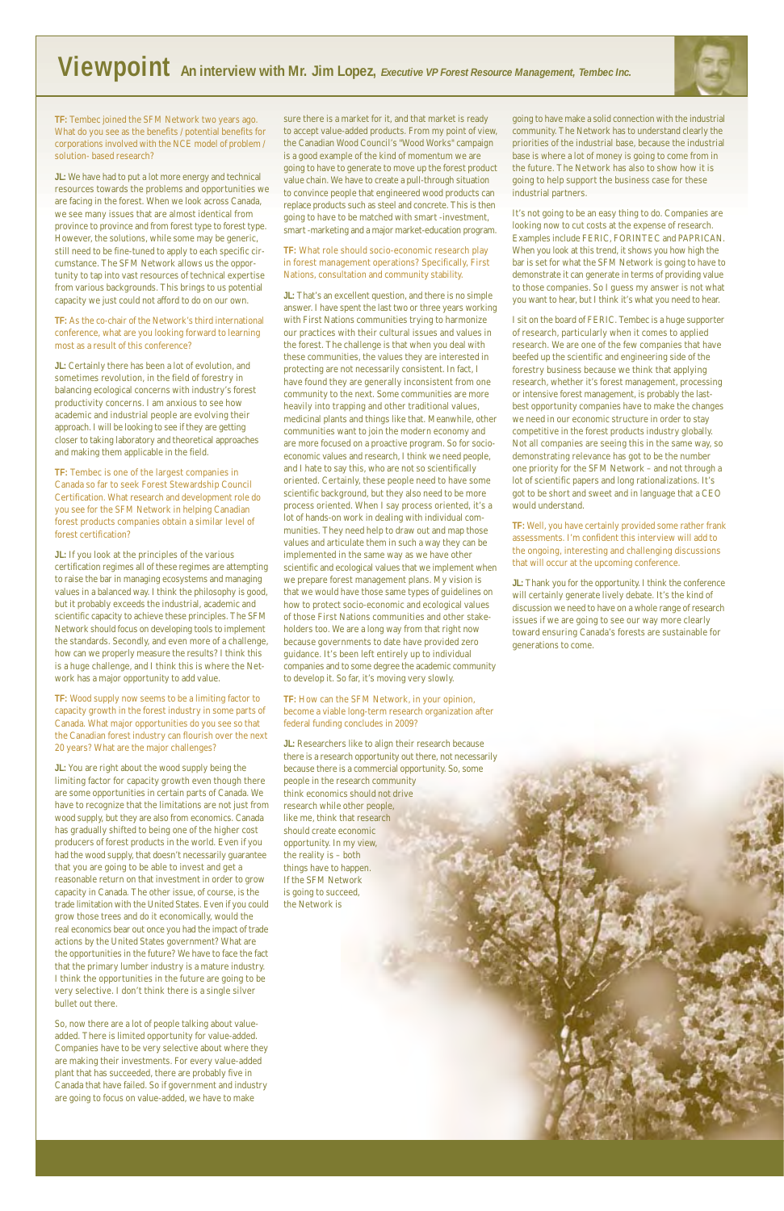**TF:** Tembec joined the SFM Network two years ago. What do you see as the benefits / potential benefits for corporations involved with the NCE model of problem / solution- based research?

**JL:** We have had to put a lot more energy and technical resources towards the problems and opportunities we are facing in the forest. When we look across Canada, we see many issues that are almost identical from province to province and from forest type to forest type. However, the solutions, while some may be generic, still need to be fine-tuned to apply to each specific circumstance. The SFM Network allows us the opportunity to tap into vast resources of technical expertise from various backgrounds. This brings to us potential capacity we just could not afford to do on our own.

**TF:** As the co-chair of the Network's third international conference, what are you looking forward to learning most as a result of this conference?

**JL:** If you look at the principles of the various certification regimes all of these regimes are attempting to raise the bar in managing ecosystems and managing values in a balanced way. I think the philosophy is good, but it probably exceeds the industrial, academic and scientific capacity to achieve these principles. The SFM Network should focus on developing tools to implement the standards. Secondly, and even more of a challenge, how can we properly measure the results? I think this is a huge challenge, and I think this is where the Network has a major opportunity to add value.

**JL:** Certainly there has been a lot of evolution, and sometimes revolution, in the field of forestry in balancing ecological concerns with industry's forest productivity concerns. I am anxious to see how academic and industrial people are evolving their approach. I will be looking to see if they are getting closer to taking laboratory and theoretical approaches and making them applicable in the field.

**TF:** Tembec is one of the largest companies in Canada so far to seek Forest Stewardship Council Certification. What research and development role do you see for the SFM Network in helping Canadian forest products companies obtain a similar level of forest certification?

**JL:** You are right about the wood supply being the limiting factor for capacity growth even though there are some opportunities in certain parts of Canada. We have to recognize that the limitations are not just from wood supply, but they are also from economics. Canada has gradually shifted to being one of the higher cost producers of forest products in the world. Even if you had the wood supply, that doesn't necessarily guarantee that you are going to be able to invest and get a reasonable return on that investment in order to grow capacity in Canada. The other issue, of course, is the trade limitation with the United States. Even if you could grow those trees and do it economically, would the real economics bear out once you had the impact of trade actions by the United States government? What are the opportunities in the future? We have to face the fact that the primary lumber industry is a mature industry. I think the opportunities in the future are going to be very selective. I don't think there is a single silver bullet out there.

**TF:** Wood supply now seems to be a limiting factor to capacity growth in the forest industry in some parts of Canada. What major opportunities do you see so that the Canadian forest industry can flourish over the next 20 years? What are the major challenges?

So, now there are a lot of people talking about valueadded. There is limited opportunity for value-added. Companies have to be very selective about where they are making their investments. For every value-added plant that has succeeded, there are probably five in Canada that have failed. So if government and industry are going to focus on value-added, we have to make

sure there is a market for it, and that market is ready to accept value-added products. From my point of view, the Canadian Wood Council's "Wood Works" campaign is a good example of the kind of momentum we are going to have to generate to move up the forest product value chain. We have to create a pull-through situation to convince people that engineered wood products can replace products such as steel and concrete. This is then going to have to be matched with smart -investment, smart -marketing and a major market-education program.

**TF:** What role should socio-economic research play in forest management operations? Specifically, First Nations, consultation and community stability.

**JL:** That's an excellent question, and there is no simple answer. I have spent the last two or three years working with First Nations communities trying to harmonize our practices with their cultural issues and values in the forest. The challenge is that when you deal with these communities, the values they are interested in protecting are not necessarily consistent. In fact, I have found they are generally inconsistent from one community to the next. Some communities are more heavily into trapping and other traditional values, medicinal plants and things like that. Meanwhile, other communities want to join the modern economy and are more focused on a proactive program. So for socioeconomic values and research, I think we need people, and I hate to say this, who are not so scientifically oriented. Certainly, these people need to have some scientific background, but they also need to be more process oriented. When I say process oriented, it's a lot of hands-on work in dealing with individual communities. They need help to draw out and map those values and articulate them in such a way they can be implemented in the same way as we have other scientific and ecological values that we implement when we prepare forest management plans. My vision is that we would have those same types of guidelines on how to protect socio-economic and ecological values of those First Nations communities and other stakeholders too. We are a long way from that right now because governments to date have provided zero guidance. It's been left entirely up to individual companies and to some degree the academic community to develop it. So far, it's moving very slowly.

**TF:** How can the SFM Network, in your opinion, become a viable long-term research organization after federal funding concludes in 2009?

**JL:** Researchers like to align their research because there is a research opportunity out there, not necessarily because there is a commercial opportunity. So, some people in the research community think economics should not drive research while other people, like me, think that research should create economic opportunity. In my view, the reality is – both things have to happen. If the SFM Network

is going to succeed, the Network is



going to have make a solid connection with the industrial community. The Network has to understand clearly the priorities of the industrial base, because the industrial base is where a lot of money is going to come from in the future. The Network has also to show how it is going to help support the business case for these industrial partners.

It's not going to be an easy thing to do. Companies are looking now to cut costs at the expense of research. Examples include FERIC, FORINTEC and PAPRICAN. When you look at this trend, it shows you how high the bar is set for what the SFM Network is going to have to demonstrate it can generate in terms of providing value to those companies. So I guess my answer is not what you want to hear, but I think it's what you need to hear.

I sit on the board of FERIC. Tembec is a huge supporter of research, particularly when it comes to applied research. We are one of the few companies that have beefed up the scientific and engineering side of the forestry business because we think that applying research, whether it's forest management, processing or intensive forest management, is probably the lastbest opportunity companies have to make the changes we need in our economic structure in order to stay competitive in the forest products industry globally. Not all companies are seeing this in the same way, so demonstrating relevance has got to be the number one priority for the SFM Network – and not through a lot of scientific papers and long rationalizations. It's got to be short and sweet and in language that a CEO would understand.

**TF:** Well, you have certainly provided some rather frank assessments. I'm confident this interview will add to the ongoing, interesting and challenging discussions that will occur at the upcoming conference.

**JL:** Thank you for the opportunity. I think the conference will certainly generate lively debate. It's the kind of discussion we need to have on a whole range of research issues if we are going to see our way more clearly toward ensuring Canada's forests are sustainable for generations to come.

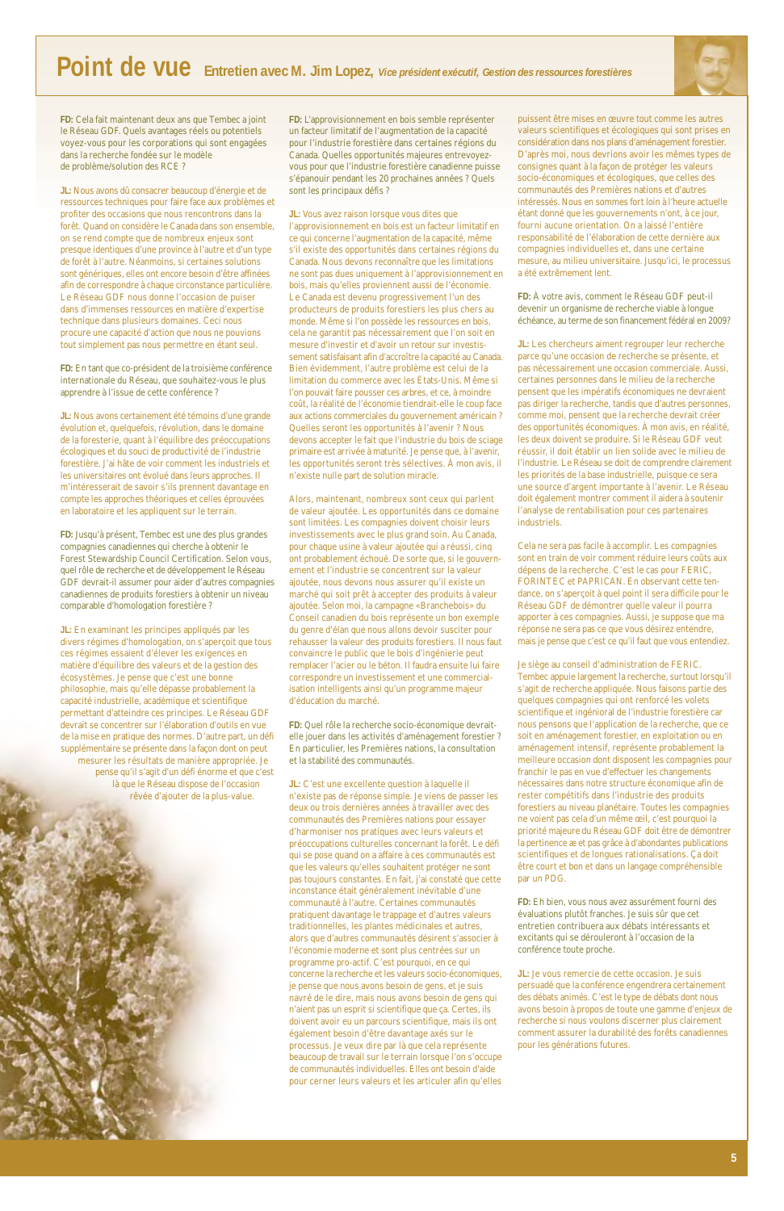

**FD:** Cela fait maintenant deux ans que Tembec a joint le Réseau GDF. Quels avantages réels ou potentiels voyez-vous pour les corporations qui sont engagées dans la recherche fondée sur le modèle de problème/solution des RCE ?

**JL:** Nous avons dû consacrer beaucoup d'énergie et de ressources techniques pour faire face aux problèmes et profiter des occasions que nous rencontrons dans la forêt. Quand on considère le Canada dans son ensemble, on se rend compte que de nombreux enjeux sont presque identiques d'une province à l'autre et d'un type de forêt à l'autre. Néanmoins, si certaines solutions sont génériques, elles ont encore besoin d'être affinées afin de correspondre à chaque circonstance particulière. Le Réseau GDF nous donne l'occasion de puiser dans d'immenses ressources en matière d'expertise technique dans plusieurs domaines. Ceci nous procure une capacité d'action que nous ne pouvions tout simplement pas nous permettre en étant seul.

**FD:** En tant que co-président de la troisième conférence internationale du Réseau, que souhaitez-vous le plus apprendre à l'issue de cette conférence ?

**JL:** Nous avons certainement été témoins d'une grande évolution et, quelquefois, révolution, dans le domaine de la foresterie, quant à l'équilibre des préoccupations écologiques et du souci de productivité de l'industrie forestière. J'ai hâte de voir comment les industriels et les universitaires ont évolué dans leurs approches. Il m'intéresserait de savoir s'ils prennent davantage en compte les approches théoriques et celles éprouvées en laboratoire et les appliquent sur le terrain.

**FD:** Jusqu'à présent, Tembec est une des plus grandes compagnies canadiennes qui cherche à obtenir le Forest Stewardship Council Certification. Selon vous, quel rôle de recherche et de développement le Réseau GDF devrait-il assumer pour aider d'autres compagnies canadiennes de produits forestiers à obtenir un niveau comparable d'homologation forestière ?

**JL:** En examinant les principes appliqués par les divers régimes d'homologation, on s'aperçoit que tous ces régimes essaient d'élever les exigences en matière d'équilibre des valeurs et de la gestion des écosystèmes. Je pense que c'est une bonne philosophie, mais qu'elle dépasse probablement la capacité industrielle, académique et scientifique permettant d'atteindre ces principes. Le Réseau GDF devrait se concentrer sur l'élaboration d'outils en vue de la mise en pratique des normes. D'autre part, un défi supplémentaire se présente dans la façon dont on peut mesurer les résultats de manière appropriée. Je pense qu'il s'agit d'un défi énorme et que c'est là que le Réseau dispose de l'occasion rêvée d'ajouter de la plus-value.

**FD:** L'approvisionnement en bois semble représenter un facteur limitatif de l'augmentation de la capacité pour l'industrie forestière dans certaines régions du Canada. Quelles opportunités majeures entrevoyezvous pour que l'industrie forestière canadienne puisse s'épanouir pendant les 20 prochaines années ? Quels sont les principaux défis ?

**JL:** Vous avez raison lorsque vous dites que l'approvisionnement en bois est un facteur limitatif en ce qui concerne l'augmentation de la capacité, même s'il existe des opportunités dans certaines régions du Canada. Nous devons reconnaître que les limitations ne sont pas dues uniquement à l'approvisionnement en bois, mais qu'elles proviennent aussi de l'économie. Le Canada est devenu progressivement l'un des producteurs de produits forestiers les plus chers au monde. Même si l'on possède les ressources en bois, cela ne garantit pas nécessairement que l'on soit en mesure d'investir et d'avoir un retour sur investissement satisfaisant afin d'accroître la capacité au Canada. Bien évidemment, l'autre problème est celui de la limitation du commerce avec les États-Unis. Même si l'on pouvait faire pousser ces arbres, et ce, à moindre coût, la réalité de l'économie tiendrait-elle le coup face aux actions commerciales du gouvernement américain ? Quelles seront les opportunités à l'avenir ? Nous devons accepter le fait que l'industrie du bois de sciage primaire est arrivée à maturité. Je pense que, à l'avenir, les opportunités seront très sélectives. À mon avis, il n'existe nulle part de solution miracle.

Alors, maintenant, nombreux sont ceux qui parlent de valeur ajoutée. Les opportunités dans ce domaine sont limitées. Les compagnies doivent choisir leurs investissements avec le plus grand soin. Au Canada, pour chaque usine à valeur ajoutée qui a réussi, cinq ont probablement échoué. De sorte que, si le gouvernement et l'industrie se concentrent sur la valeur ajoutée, nous devons nous assurer qu'il existe un marché qui soit prêt à accepter des produits à valeur ajoutée. Selon moi, la campagne «Branchebois» du Conseil canadien du bois représente un bon exemple du genre d'élan que nous allons devoir susciter pour rehausser la valeur des produits forestiers. Il nous faut convaincre le public que le bois d'ingénierie peut remplacer l'acier ou le béton. Il faudra ensuite lui faire correspondre un investissement et une commercialisation intelligents ainsi qu'un programme majeur d'éducation du marché.

> JL: Je vous remercie de cette occasion. Je suis persuadé que la conférence engendrera certainement des débats animés. C'est le type de débats dont nous avons besoin à propos de toute une gamme d'enjeux de recherche si nous voulons discerner plus clairement comment assurer la durabilité des forêts canadiennes pour les générations futures.

**FD:** Quel rôle la recherche socio-économique devraitelle jouer dans les activités d'aménagement forestier ? En particulier, les Premières nations, la consultation et la stabilité des communautés.

**JL:** C'est une excellente question à laquelle il n'existe pas de réponse simple. Je viens de passer les deux ou trois dernières années à travailler avec des communautés des Premières nations pour essayer d'harmoniser nos pratiques avec leurs valeurs et préoccupations culturelles concernant la forêt. Le défi qui se pose quand on a affaire à ces communautés est que les valeurs qu'elles souhaitent protéger ne sont pas toujours constantes. En fait, j'ai constaté que cette inconstance était généralement inévitable d'une communauté à l'autre. Certaines communautés pratiquent davantage le trappage et d'autres valeurs traditionnelles, les plantes médicinales et autres, alors que d'autres communautés désirent s'associer à l'économie moderne et sont plus centrées sur un programme pro-actif. C'est pourquoi, en ce qui concerne la recherche et les valeurs socio-économiques, je pense que nous avons besoin de gens, et je suis navré de le dire, mais nous avons besoin de gens qui n'aient pas un esprit si scientifique que ça. Certes, ils doivent avoir eu un parcours scientifique, mais ils ont également besoin d'être davantage axés sur le processus. Je veux dire par là que cela représente beaucoup de travail sur le terrain lorsque l'on s'occupe de communautés individuelles. Elles ont besoin d'aide pour cerner leurs valeurs et les articuler afin qu'elles

puissent être mises en œuvre tout comme les autres valeurs scientifiques et écologiques qui sont prises en considération dans nos plans d'aménagement forestier. D'après moi, nous devrions avoir les mêmes types de consignes quant à la façon de protéger les valeurs socio-économiques et écologiques, que celles des communautés des Premières nations et d'autres intéressés. Nous en sommes fort loin à l'heure actuelle étant donné que les gouvernements n'ont, à ce jour, fourni aucune orientation. On a laissé l'entière responsabilité de l'élaboration de cette dernière aux compagnies individuelles et, dans une certaine mesure, au milieu universitaire. Jusqu'ici, le processus a été extrêmement lent.

**FD:** À votre avis, comment le Réseau GDF peut-il devenir un organisme de recherche viable à longue échéance, au terme de son financement fédéral en 2009?

**JL:** Les chercheurs aiment regrouper leur recherche parce qu'une occasion de recherche se présente, et pas nécessairement une occasion commerciale. Aussi, certaines personnes dans le milieu de la recherche pensent que les impératifs économiques ne devraient pas diriger la recherche, tandis que d'autres personnes, comme moi, pensent que la recherche devrait créer des opportunités économiques. À mon avis, en réalité, les deux doivent se produire. Si le Réseau GDF veut réussir, il doit établir un lien solide avec le milieu de l'industrie. Le Réseau se doit de comprendre clairement les priorités de la base industrielle, puisque ce sera une source d'argent importante à l'avenir. Le Réseau doit également montrer comment il aidera à soutenir l'analyse de rentabilisation pour ces partenaires industriels.

Cela ne sera pas facile à accomplir. Les compagnies sont en train de voir comment réduire leurs coûts aux dépens de la recherche. C'est le cas pour FERIC, FORINTEC et PAPRICAN. En observant cette tendance, on s'aperçoit à quel point il sera difficile pour le Réseau GDF de démontrer quelle valeur il pourra apporter à ces compagnies. Aussi, je suppose que ma réponse ne sera pas ce que vous désirez entendre, mais je pense que c'est ce qu'il faut que vous entendiez.

Je siège au conseil d'administration de FERIC. Tembec appuie largement la recherche, surtout lorsqu'il s'agit de recherche appliquée. Nous faisons partie des quelques compagnies qui ont renforcé les volets scientifique et ingénioral de l'industrie forestière car nous pensons que l'application de la recherche, que ce soit en aménagement forestier, en exploitation ou en aménagement intensif, représente probablement la meilleure occasion dont disposent les compagnies pour franchir le pas en vue d'effectuer les changements nécessaires dans notre structure économique afin de rester compétitifs dans l'industrie des produits forestiers au niveau planétaire. Toutes les compagnies ne voient pas cela d'un même œil, c'est pourquoi la priorité majeure du Réseau GDF doit être de démontrer la pertinence æ et pas grâce à d'abondantes publications scientifiques et de longues rationalisations. Ça doit être court et bon et dans un langage compréhensible par un PDG.



**FD:** Eh bien, vous nous avez assurément fourni des évaluations plutôt franches. Je suis sûr que cet entretien contribuera aux débats intéressants et excitants qui se dérouleront à l'occasion de la conférence toute proche.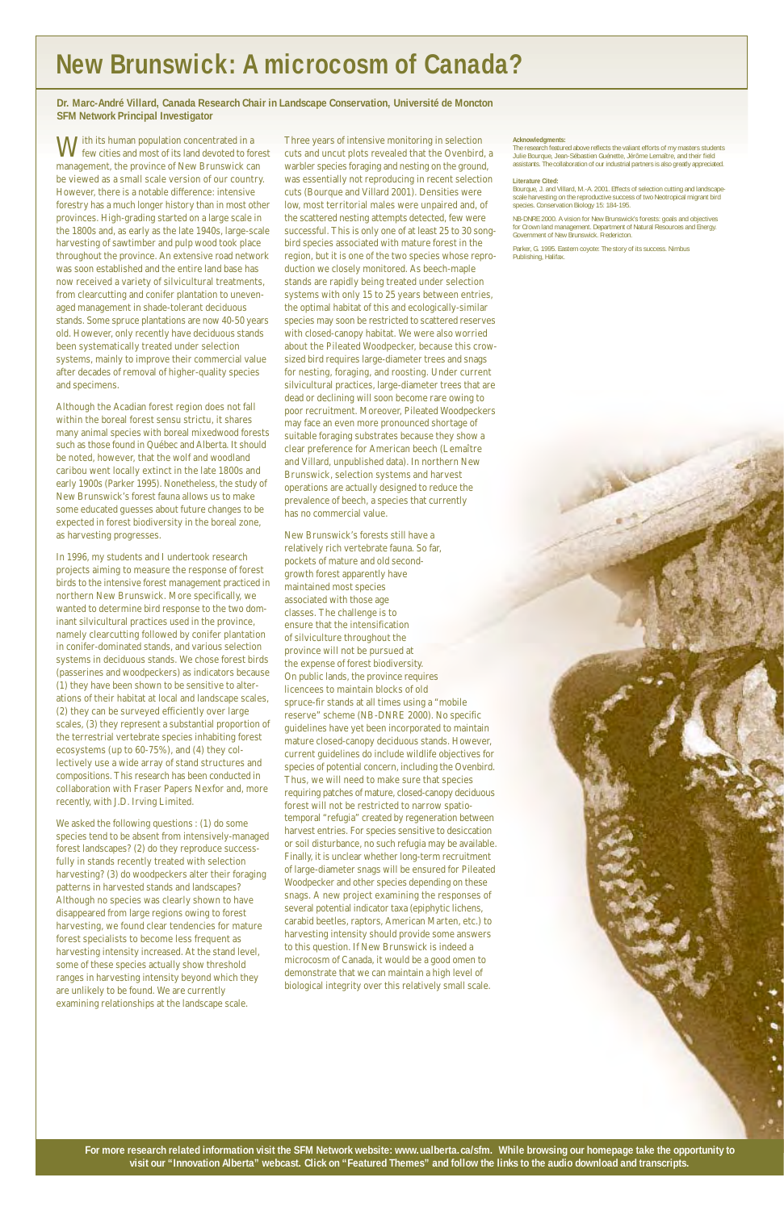With its human population concentrated in a few cities and most of its land devoted to forest management, the province of New Brunswick can be viewed as a small scale version of our country. However, there is a notable difference: intensive forestry has a much longer history than in most other provinces. High-grading started on a large scale in the 1800s and, as early as the late 1940s, large-scale harvesting of sawtimber and pulp wood took place throughout the province. An extensive road network was soon established and the entire land base has now received a variety of silvicultural treatments, from clearcutting and conifer plantation to unevenaged management in shade-tolerant deciduous stands. Some spruce plantations are now 40-50 years old. However, only recently have deciduous stands been systematically treated under selection systems, mainly to improve their commercial value after decades of removal of higher-quality species and specimens.

Although the Acadian forest region does not fall within the boreal forest sensu strictu, it shares many animal species with boreal mixedwood forests such as those found in Québec and Alberta. It should be noted, however, that the wolf and woodland caribou went locally extinct in the late 1800s and early 1900s (Parker 1995). Nonetheless, the study of New Brunswick's forest fauna allows us to make some educated guesses about future changes to be expected in forest biodiversity in the boreal zone, as harvesting progresses.

In 1996, my students and I undertook research projects aiming to measure the response of forest birds to the intensive forest management practiced in northern New Brunswick. More specifically, we wanted to determine bird response to the two dominant silvicultural practices used in the province, namely clearcutting followed by conifer plantation in conifer-dominated stands, and various selection systems in deciduous stands. We chose forest birds (passerines and woodpeckers) as indicators because (1) they have been shown to be sensitive to alterations of their habitat at local and landscape scales, (2) they can be surveyed efficiently over large scales, (3) they represent a substantial proportion of the terrestrial vertebrate species inhabiting forest ecosystems (up to 60-75%), and (4) they collectively use a wide array of stand structures and compositions. This research has been conducted in collaboration with Fraser Papers Nexfor and, more recently, with J.D. Irving Limited.

We asked the following questions : (1) do some species tend to be absent from intensively-managed forest landscapes? (2) do they reproduce successfully in stands recently treated with selection harvesting? (3) do woodpeckers alter their foraging patterns in harvested stands and landscapes? Although no species was clearly shown to have disappeared from large regions owing to forest harvesting, we found clear tendencies for mature forest specialists to become less frequent as harvesting intensity increased. At the stand level, some of these species actually show threshold ranges in harvesting intensity beyond which they are unlikely to be found. We are currently examining relationships at the landscape scale.

Three years of intensive monitoring in selection cuts and uncut plots revealed that the Ovenbird, a warbler species foraging and nesting on the ground, was essentially not reproducing in recent selection cuts (Bourque and Villard 2001). Densities were low, most territorial males were unpaired and, of the scattered nesting attempts detected, few were successful. This is only one of at least 25 to 30 songbird species associated with mature forest in the region, but it is one of the two species whose reproduction we closely monitored. As beech-maple stands are rapidly being treated under selection systems with only 15 to 25 years between entries, the optimal habitat of this and ecologically-similar species may soon be restricted to scattered reserves with closed-canopy habitat. We were also worried about the Pileated Woodpecker, because this crowsized bird requires large-diameter trees and snags for nesting, foraging, and roosting. Under current silvicultural practices, large-diameter trees that are dead or declining will soon become rare owing to poor recruitment. Moreover, Pileated Woodpeckers may face an even more pronounced shortage of suitable foraging substrates because they show a clear preference for American beech (Lemaître and Villard, unpublished data). In northern New Brunswick, selection systems and harvest operations are actually designed to reduce the prevalence of beech, a species that currently has no commercial value.

New Brunswick's forests still have a relatively rich vertebrate fauna. So far, pockets of mature and old secondgrowth forest apparently have maintained most species associated with those age classes. The challenge is to ensure that the intensification of silviculture throughout the province will not be pursued at the expense of forest biodiversity. On public lands, the province requires licencees to maintain blocks of old spruce-fir stands at all times using a "mobile reserve" scheme (NB-DNRE 2000). No specific guidelines have yet been incorporated to maintain mature closed-canopy deciduous stands. However, current guidelines do include wildlife objectives for species of potential concern, including the Ovenbird. Thus, we will need to make sure that species requiring patches of mature, closed-canopy deciduous forest will not be restricted to narrow spatiotemporal "refugia" created by regeneration between harvest entries. For species sensitive to desiccation or soil disturbance, no such refugia may be available. Finally, it is unclear whether long-term recruitment of large-diameter snags will be ensured for Pileated Woodpecker and other species depending on these snags. A new project examining the responses of several potential indicator taxa (epiphytic lichens, carabid beetles, raptors, American Marten, etc.) to harvesting intensity should provide some answers to this question. If New Brunswick is indeed a microcosm of Canada, it would be a good omen to demonstrate that we can maintain a high level of biological integrity over this relatively small scale.

#### **Acknowledgments:**

The research featured above reflects the valiant efforts of my masters students Julie Bourque, Jean-Sébastien Guénette, Jérôme Lemaître, and their field assistants. The collaboration of our industrial partners is also greatly appreciated.

#### **Literature Cited:**

Bourque, J. and Villard, M.-A. 2001. Effects of selection cutting and landscapescale harvesting on the reproductive success of two Neotropical migrant bird species. Conservation Biology 15: 184-195.

NB-DNRE 2000. A vision for New Brunswick's forests: goals and objectives for Crown land management. Department of Natural Resources and Energy. Government of New Brunswick. Fredericton.

Parker, G. 1995. Eastern coyote: The story of its success. Nimbus Publishing, Halifax.



## **New Brunswick: A microcosm of Canada?**

**For more research related information visit the SFM Network website: www.ualberta.ca/sfm. While browsing our homepage take the opportunity to visit our "Innovation Alberta" webcast. Click on "Featured Themes" and follow the links to the audio download and transcripts.**

**Dr. Marc-André Villard, Canada Research Chair in Landscape Conservation, Université de Moncton SFM Network Principal Investigator**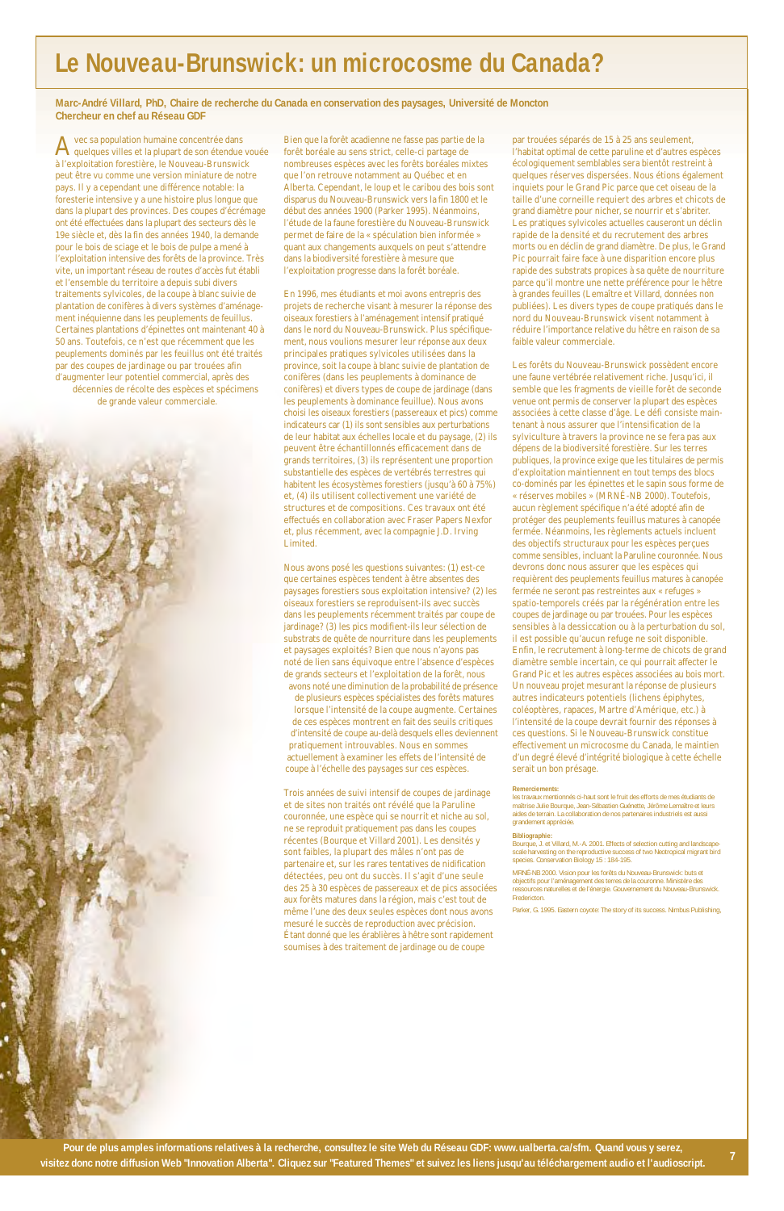Avec sa population humaine concentrée dans quelques villes et la plupart de son étendue vouée à l'exploitation forestière, le Nouveau-Brunswick peut être vu comme une version miniature de notre pays. Il y a cependant une différence notable: la foresterie intensive y a une histoire plus longue que dans la plupart des provinces. Des coupes d'écrémage ont été effectuées dans la plupart des secteurs dès le 19e siècle et, dès la fin des années 1940, la demande pour le bois de sciage et le bois de pulpe a mené à l'exploitation intensive des forêts de la province. Très vite, un important réseau de routes d'accès fut établi et l'ensemble du territoire a depuis subi divers traitements sylvicoles, de la coupe à blanc suivie de plantation de conifères à divers systèmes d'aménagement inéquienne dans les peuplements de feuillus. Certaines plantations d'épinettes ont maintenant 40 à 50 ans. Toutefois, ce n'est que récemment que les peuplements dominés par les feuillus ont été traités par des coupes de jardinage ou par trouées afin d'augmenter leur potentiel commercial, après des décennies de récolte des espèces et spécimens

de grande valeur commerciale.



Bien que la forêt acadienne ne fasse pas partie de la forêt boréale au sens strict, celle-ci partage de nombreuses espèces avec les forêts boréales mixtes que l'on retrouve notamment au Québec et en Alberta. Cependant, le loup et le caribou des bois sont disparus du Nouveau-Brunswick vers la fin 1800 et le début des années 1900 (Parker 1995). Néanmoins, l'étude de la faune forestière du Nouveau-Brunswick permet de faire de la « spéculation bien informée » quant aux changements auxquels on peut s'attendre dans la biodiversité forestière à mesure que l'exploitation progresse dans la forêt boréale.

En 1996, mes étudiants et moi avons entrepris des projets de recherche visant à mesurer la réponse des oiseaux forestiers à l'aménagement intensif pratiqué dans le nord du Nouveau-Brunswick. Plus spécifiquement, nous voulions mesurer leur réponse aux deux principales pratiques sylvicoles utilisées dans la province, soit la coupe à blanc suivie de plantation de conifères (dans les peuplements à dominance de conifères) et divers types de coupe de jardinage (dans les peuplements à dominance feuillue). Nous avons choisi les oiseaux forestiers (passereaux et pics) comme indicateurs car (1) ils sont sensibles aux perturbations de leur habitat aux échelles locale et du paysage, (2) ils peuvent être échantillonnés efficacement dans de grands territoires, (3) ils représentent une proportion substantielle des espèces de vertébrés terrestres qui habitent les écosystèmes forestiers (jusqu'à 60 à 75%) et, (4) ils utilisent collectivement une variété de structures et de compositions. Ces travaux ont été effectués en collaboration avec Fraser Papers Nexfor et, plus récemment, avec la compagnie J.D. Irving Limited.

Nous avons posé les questions suivantes: (1) est-ce que certaines espèces tendent à être absentes des paysages forestiers sous exploitation intensive? (2) les oiseaux forestiers se reproduisent-ils avec succès dans les peuplements récemment traités par coupe de jardinage? (3) les pics modifient-ils leur sélection de substrats de quête de nourriture dans les peuplements et paysages exploités? Bien que nous n'ayons pas noté de lien sans équivoque entre l'absence d'espèces de grands secteurs et l'exploitation de la forêt, nous avons noté une diminution de la probabilité de présence

de plusieurs espèces spécialistes des forêts matures lorsque l'intensité de la coupe augmente. Certaines de ces espèces montrent en fait des seuils critiques d'intensité de coupe au-delà desquels elles deviennent pratiquement introuvables. Nous en sommes actuellement à examiner les effets de l'intensité de coupe à l'échelle des paysages sur ces espèces.

Trois années de suivi intensif de coupes de jardinage et de sites non traités ont révélé que la Paruline couronnée, une espèce qui se nourrit et niche au sol, ne se reproduit pratiquement pas dans les coupes récentes (Bourque et Villard 2001). Les densités y sont faibles, la plupart des mâles n'ont pas de partenaire et, sur les rares tentatives de nidification détectées, peu ont du succès. Il s'agit d'une seule des 25 à 30 espèces de passereaux et de pics associées aux forêts matures dans la région, mais c'est tout de même l'une des deux seules espèces dont nous avons mesuré le succès de reproduction avec précision. Étant donné que les érablières à hêtre sont rapidement soumises à des traitement de jardinage ou de coupe

par trouées séparés de 15 à 25 ans seulement, l'habitat optimal de cette paruline et d'autres espèces écologiquement semblables sera bientôt restreint à quelques réserves dispersées. Nous étions également inquiets pour le Grand Pic parce que cet oiseau de la taille d'une corneille requiert des arbres et chicots de grand diamètre pour nicher, se nourrir et s'abriter. Les pratiques sylvicoles actuelles causeront un déclin rapide de la densité et du recrutement des arbres morts ou en déclin de grand diamètre. De plus, le Grand Pic pourrait faire face à une disparition encore plus rapide des substrats propices à sa quête de nourriture parce qu'il montre une nette préférence pour le hêtre à grandes feuilles (Lemaître et Villard, données non publiées). Les divers types de coupe pratiqués dans le nord du Nouveau-Brunswick visent notamment à réduire l'importance relative du hêtre en raison de sa faible valeur commerciale.

Les forêts du Nouveau-Brunswick possèdent encore une faune vertébrée relativement riche. Jusqu'ici, il semble que les fragments de vieille forêt de seconde venue ont permis de conserver la plupart des espèces associées à cette classe d'âge. Le défi consiste maintenant à nous assurer que l'intensification de la sylviculture à travers la province ne se fera pas aux dépens de la biodiversité forestière. Sur les terres publiques, la province exige que les titulaires de permis d'exploitation maintiennent en tout temps des blocs co-dominés par les épinettes et le sapin sous forme de « réserves mobiles » (MRNÉ-NB 2000). Toutefois, aucun règlement spécifique n'a été adopté afin de protéger des peuplements feuillus matures à canopée fermée. Néanmoins, les règlements actuels incluent des objectifs structuraux pour les espèces perçues comme sensibles, incluant la Paruline couronnée. Nous devrons donc nous assurer que les espèces qui requièrent des peuplements feuillus matures à canopée fermée ne seront pas restreintes aux « refuges » spatio-temporels créés par la régénération entre les coupes de jardinage ou par trouées. Pour les espèces sensibles à la dessiccation ou à la perturbation du sol, il est possible qu'aucun refuge ne soit disponible. Enfin, le recrutement à long-terme de chicots de grand diamètre semble incertain, ce qui pourrait affecter le Grand Pic et les autres espèces associées au bois mort. Un nouveau projet mesurant la réponse de plusieurs autres indicateurs potentiels (lichens épiphytes, coléoptères, rapaces, Martre d'Amérique, etc.) à l'intensité de la coupe devrait fournir des réponses à ces questions. Si le Nouveau-Brunswick constitue effectivement un microcosme du Canada, le maintien d'un degré élevé d'intégrité biologique à cette échelle serait un bon présage.

#### **Remerciements:**

les travaux mentionnés ci-haut sont le fruit des efforts de mes étudiants de maîtrise Julie Bourque, Jean-Sébastien Guénette, Jérôme Lemaître et leurs aides de terrain. La collaboration de nos partenaires industriels est aussi grandement appréciée.

#### **Bibliographie:**

Bourque, J. et Villard, M.-A. 2001. Effects of selection cutting and landscapescale harvesting on the reproductive success of two Neotropical migrant bird species. Conservation Biology 15 : 184-195.

MRNÉ-NB 2000. Vision pour les forêts du Nouveau-Brunswick: buts et objectifs pour l'aménagement des terres de la couronne. Ministère des ressources naturelles et de l'énergie. Gouvernement du Nouveau-Brunswick. Fredericton.

Parker, G. 1995. Eastern coyote: The story of its success. Nimbus Publishing,

### **Le Nouveau-Brunswick: un microcosme du Canada?**

**Marc-André Villard, PhD, Chaire de recherche du Canada en conservation des paysages, Université de Moncton Chercheur en chef au Réseau GDF**

**Pour de plus amples informations relatives à la recherche, consultez le site Web du Réseau GDF: www.ualberta.ca/sfm. Quand vous y serez, visitez donc notre diffusion Web "Innovation Alberta". Cliquez sur "Featured Themes" et suivez les liens jusqu'au téléchargement audio et l'audioscript. <sup>7</sup>**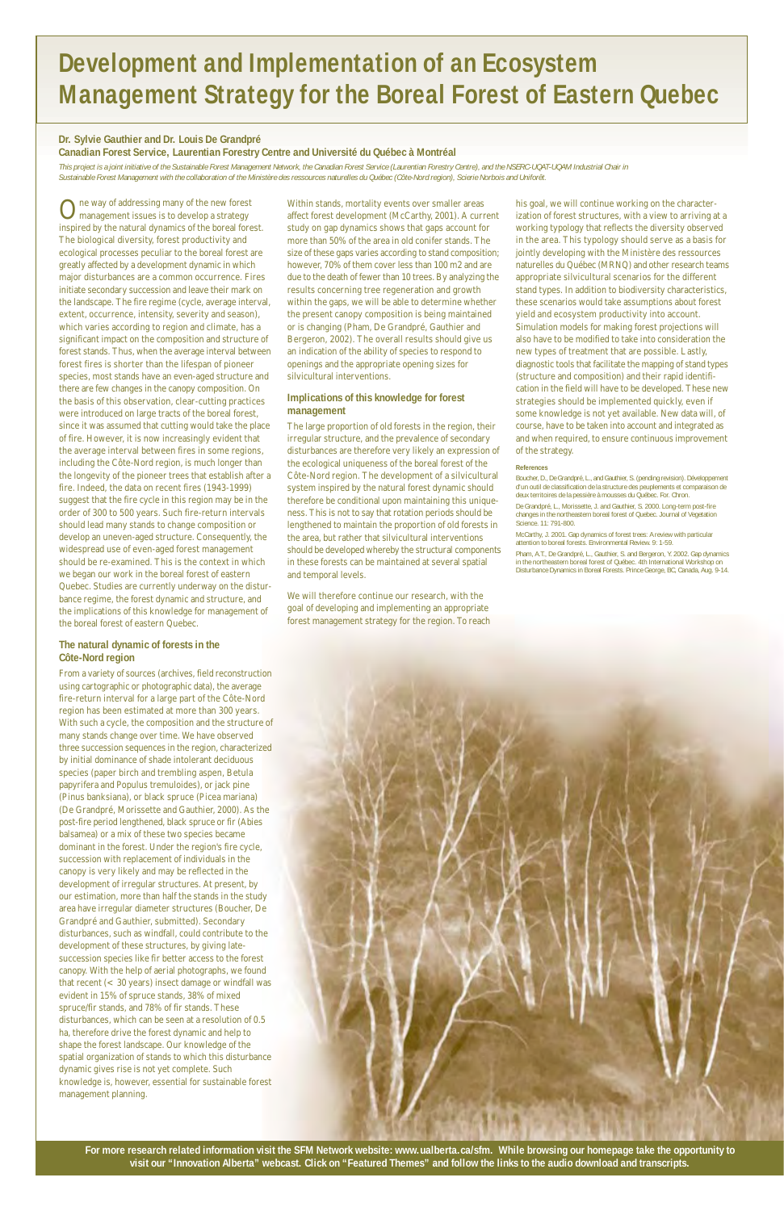ne way of addressing many of the new forest management issues is to develop a strategy inspired by the natural dynamics of the boreal forest. The biological diversity, forest productivity and ecological processes peculiar to the boreal forest are greatly affected by a development dynamic in which major disturbances are a common occurrence. Fires initiate secondary succession and leave their mark on the landscape. The fire regime (cycle, average interval, extent, occurrence, intensity, severity and season), which varies according to region and climate, has a significant impact on the composition and structure of forest stands. Thus, when the average interval between forest fires is shorter than the lifespan of pioneer species, most stands have an even-aged structure and there are few changes in the canopy composition. On the basis of this observation, clear-cutting practices were introduced on large tracts of the boreal forest, since it was assumed that cutting would take the place of fire. However, it is now increasingly evident that the average interval between fires in some regions, including the Côte-Nord region, is much longer than the longevity of the pioneer trees that establish after a fire. Indeed, the data on recent fires (1943-1999) suggest that the fire cycle in this region may be in the order of 300 to 500 years. Such fire-return intervals should lead many stands to change composition or develop an uneven-aged structure. Consequently, the widespread use of even-aged forest management should be re-examined. This is the context in which we began our work in the boreal forest of eastern Quebec. Studies are currently underway on the disturbance regime, the forest dynamic and structure, and the implications of this knowledge for management of the boreal forest of eastern Quebec.

#### **The natural dynamic of forests in the Côte-Nord region**

From a variety of sources (archives, field reconstruction using cartographic or photographic data), the average fire-return interval for a large part of the Côte-Nord region has been estimated at more than 300 years. With such a cycle, the composition and the structure of many stands change over time. We have observed three succession sequences in the region, characterized by initial dominance of shade intolerant deciduous species (paper birch and trembling aspen, Betula papyrifera and Populus tremuloides), or jack pine (Pinus banksiana), or black spruce (Picea mariana) (De Grandpré, Morissette and Gauthier, 2000). As the post-fire period lengthened, black spruce or fir (Abies balsamea) or a mix of these two species became dominant in the forest. Under the region's fire cycle, succession with replacement of individuals in the canopy is very likely and may be reflected in the development of irregular structures. At present, by our estimation, more than half the stands in the study area have irregular diameter structures (Boucher, De Grandpré and Gauthier, submitted). Secondary disturbances, such as windfall, could contribute to the development of these structures, by giving latesuccession species like fir better access to the forest canopy. With the help of aerial photographs, we found that recent (< 30 years) insect damage or windfall was evident in 15% of spruce stands, 38% of mixed spruce/fir stands, and 78% of fir stands. These disturbances, which can be seen at a resolution of 0.5 ha, therefore drive the forest dynamic and help to shape the forest landscape. Our knowledge of the spatial organization of stands to which this disturbance dynamic gives rise is not yet complete. Such knowledge is, however, essential for sustainable forest management planning.

Within stands, mortality events over smaller areas affect forest development (McCarthy, 2001). A current study on gap dynamics shows that gaps account for more than 50% of the area in old conifer stands. The size of these gaps varies according to stand composition; however, 70% of them cover less than 100 m2 and are due to the death of fewer than 10 trees. By analyzing the results concerning tree regeneration and growth within the gaps, we will be able to determine whether the present canopy composition is being maintained or is changing (Pham, De Grandpré, Gauthier and Bergeron, 2002). The overall results should give us an indication of the ability of species to respond to openings and the appropriate opening sizes for silvicultural interventions.

#### **Implications of this knowledge for forest management**

The large proportion of old forests in the region, their irregular structure, and the prevalence of secondary disturbances are therefore very likely an expression of the ecological uniqueness of the boreal forest of the Côte-Nord region. The development of a silvicultural system inspired by the natural forest dynamic should therefore be conditional upon maintaining this uniqueness. This is not to say that rotation periods should be lengthened to maintain the proportion of old forests in the area, but rather that silvicultural interventions should be developed whereby the structural components in these forests can be maintained at several spatial and temporal levels.

We will therefore continue our research, with the goal of developing and implementing an appropriate forest management strategy for the region. To reach his goal, we will continue working on the characterization of forest structures, with a view to arriving at a working typology that reflects the diversity observed in the area. This typology should serve as a basis for jointly developing with the Ministère des ressources naturelles du Québec (MRNQ) and other research teams appropriate silvicultural scenarios for the different stand types. In addition to biodiversity characteristics, these scenarios would take assumptions about forest yield and ecosystem productivity into account. Simulation models for making forest projections will also have to be modified to take into consideration the new types of treatment that are possible. Lastly, diagnostic tools that facilitate the mapping of stand types (structure and composition) and their rapid identification in the field will have to be developed. These new strategies should be implemented quickly, even if some knowledge is not yet available. New data will, of course, have to be taken into account and integrated as and when required, to ensure continuous improvement of the strategy.

#### **References**

Boucher, D., De Grandpré, L., and Gauthier, S. (pending revision). Développement d'un outil de classification de la structure des peuplements et comparaison de deux territoires de la pessière à mousses du Québec. For. Chron.

De Grandpré, L., Morissette, J. and Gauthier, S. 2000. Long-term post-fire changes in the northeastern boreal forest of Quebec. Journal of Vegetation Science. 11: 791-800.

McCarthy, J. 2001. Gap dynamics of forest trees: A review with particular attention to boreal forests. Environmental Review. 9: 1-59.

Pham, A.T., De Grandpré, L., Gauthier, S. and Bergeron, Y. 2002. Gap dynamics in the northeastern boreal forest of Québec. 4th International Workshop on Disturbance Dynamics in Boreal Forests. Prince George, BC, Canada, Aug. 9-14.



## **Development and Implementation of an Ecosystem Management Strategy for the Boreal Forest of Eastern Quebec**

#### **Dr. Sylvie Gauthier and Dr. Louis De Grandpré**

#### **Canadian Forest Service, Laurentian Forestry Centre and Université du Québec à Montréal**

*This project is a joint initiative of the Sustainable Forest Management Network, the Canadian Forest Service (Laurentian Forestry Centre), and the NSERC-UQAT-UQAM Industrial Chair in Sustainable Forest Management with the collaboration of the Ministère des ressources naturelles du Québec (Côte-Nord region), Scierie Norbois and Uniforêt.*

**For more research related information visit the SFM Network website: www.ualberta.ca/sfm. While browsing our homepage take the opportunity to visit our "Innovation Alberta" webcast. Click on "Featured Themes" and follow the links to the audio download and transcripts.**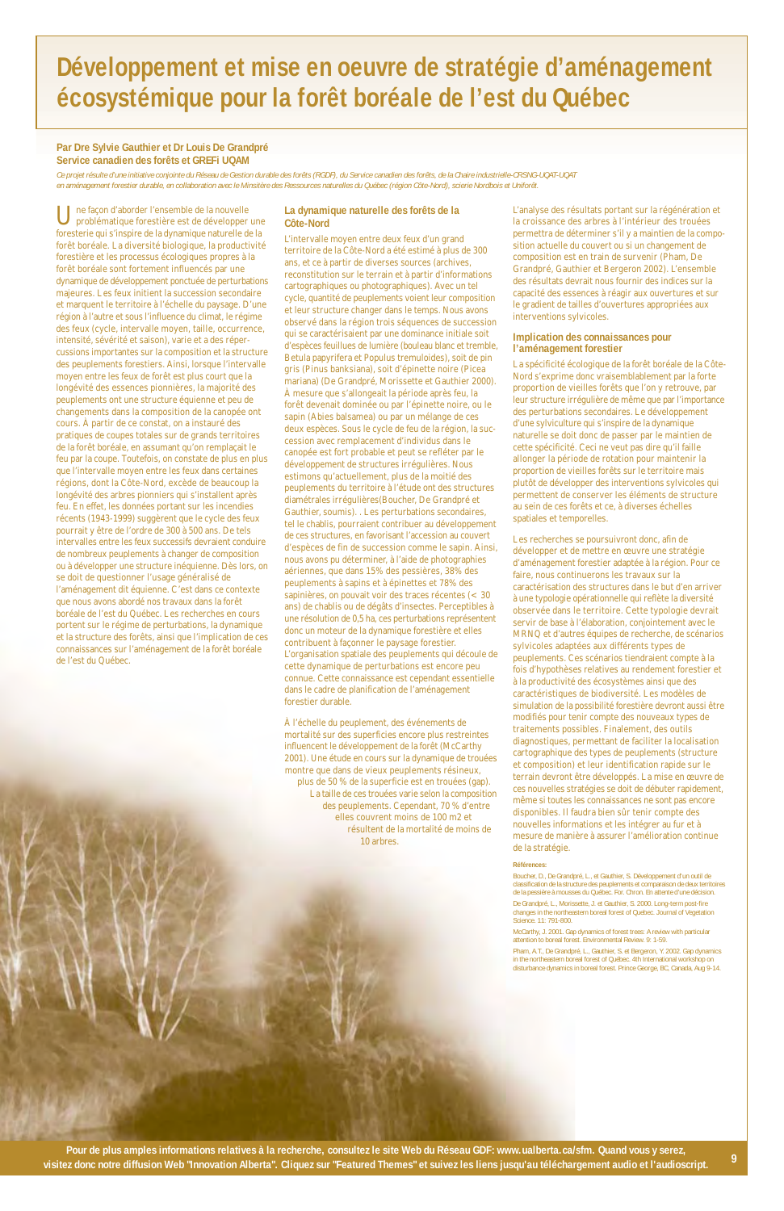Une façon d'aborder l'ensemble de la nouvelle problématique forestière est de développer une foresterie qui s'inspire de la dynamique naturelle de la forêt boréale. La diversité biologique, la productivité forestière et les processus écologiques propres à la forêt boréale sont fortement influencés par une dynamique de développement ponctuée de perturbations majeures. Les feux initient la succession secondaire et marquent le territoire à l'échelle du paysage. D'une région à l'autre et sous l'influence du climat, le régime des feux (cycle, intervalle moyen, taille, occurrence, intensité, sévérité et saison), varie et a des répercussions importantes sur la composition et la structure des peuplements forestiers. Ainsi, lorsque l'intervalle moyen entre les feux de forêt est plus court que la longévité des essences pionnières, la majorité des peuplements ont une structure équienne et peu de changements dans la composition de la canopée ont cours. À partir de ce constat, on a instauré des pratiques de coupes totales sur de grands territoires de la forêt boréale, en assumant qu'on remplaçait le feu par la coupe. Toutefois, on constate de plus en plus que l'intervalle moyen entre les feux dans certaines régions, dont la Côte-Nord, excède de beaucoup la longévité des arbres pionniers qui s'installent après feu. En effet, les données portant sur les incendies récents (1943-1999) suggèrent que le cycle des feux pourrait y être de l'ordre de 300 à 500 ans. De tels intervalles entre les feux successifs devraient conduire de nombreux peuplements à changer de composition ou à développer une structure inéquienne. Dès lors, on se doit de questionner l'usage généralisé de l'aménagement dit équienne. C'est dans ce contexte que nous avons abordé nos travaux dans la forêt boréale de l'est du Québec. Les recherches en cours portent sur le régime de perturbations, la dynamique et la structure des forêts, ainsi que l'implication de ces connaissances sur l'aménagement de la forêt boréale de l'est du Québec.

#### **La dynamique naturelle des forêts de la Côte-Nord**

L'intervalle moyen entre deux feux d'un grand territoire de la Côte-Nord a été estimé à plus de 300 ans, et ce à partir de diverses sources (archives, reconstitution sur le terrain et à partir d'informations cartographiques ou photographiques). Avec un tel cycle, quantité de peuplements voient leur composition et leur structure changer dans le temps. Nous avons observé dans la région trois séquences de succession qui se caractérisaient par une dominance initiale soit d'espèces feuillues de lumière (bouleau blanc et tremble, Betula papyrifera et Populus tremuloides), soit de pin gris (Pinus banksiana), soit d'épinette noire (Picea mariana) (De Grandpré, Morissette et Gauthier 2000). À mesure que s'allongeait la période après feu, la forêt devenait dominée ou par l'épinette noire, ou le sapin (Abies balsamea) ou par un mélange de ces deux espèces. Sous le cycle de feu de la région, la succession avec remplacement d'individus dans le canopée est fort probable et peut se refléter par le développement de structures irrégulières. Nous estimons qu'actuellement, plus de la moitié des peuplements du territoire à l'étude ont des structures diamétrales irrégulières(Boucher, De Grandpré et Gauthier, soumis). . Les perturbations secondaires, tel le chablis, pourraient contribuer au développement de ces structures, en favorisant l'accession au couvert d'espèces de fin de succession comme le sapin. Ainsi, nous avons pu déterminer, à l'aide de photographies aériennes, que dans 15% des pessières, 38% des peuplements à sapins et à épinettes et 78% des sapinières, on pouvait voir des traces récentes (< 30 ans) de chablis ou de dégâts d'insectes. Perceptibles à une résolution de 0,5 ha, ces perturbations représentent donc un moteur de la dynamique forestière et elles contribuent à façonner le paysage forestier. L'organisation spatiale des peuplements qui découle de cette dynamique de perturbations est encore peu connue. Cette connaissance est cependant essentielle dans le cadre de planification de l'aménagement forestier durable.

À l'échelle du peuplement, des événements de mortalité sur des superficies encore plus restreintes influencent le développement de la forêt (McCarthy 2001). Une étude en cours sur la dynamique de trouées montre que dans de vieux peuplements résineux, plus de 50 % de la superficie est en trouées (gap). La taille de ces trouées varie selon la composition des peuplements. Cependant, 70 % d'entre elles couvrent moins de 100 m2 et résultent de la mortalité de moins de 10 arbres.

L'analyse des résultats portant sur la régénération et la croissance des arbres à l'intérieur des trouées permettra de déterminer s'il y a maintien de la composition actuelle du couvert ou si un changement de composition est en train de survenir (Pham, De Grandpré, Gauthier et Bergeron 2002). L'ensemble des résultats devrait nous fournir des indices sur la capacité des essences à réagir aux ouvertures et sur le gradient de tailles d'ouvertures appropriées aux interventions sylvicoles.

#### **Implication des connaissances pour l'aménagement forestier**

La spécificité écologique de la forêt boréale de la Côte-Nord s'exprime donc vraisemblablement par la forte proportion de vieilles forêts que l'on y retrouve, par leur structure irrégulière de même que par l'importance des perturbations secondaires. Le développement d'une sylviculture qui s'inspire de la dynamique naturelle se doit donc de passer par le maintien de cette spécificité. Ceci ne veut pas dire qu'il faille allonger la période de rotation pour maintenir la proportion de vieilles forêts sur le territoire mais plutôt de développer des interventions sylvicoles qui permettent de conserver les éléments de structure au sein de ces forêts et ce, à diverses échelles spatiales et temporelles.

Les recherches se poursuivront donc, afin de développer et de mettre en œuvre une stratégie d'aménagement forestier adaptée à la région. Pour ce faire, nous continuerons les travaux sur la caractérisation des structures dans le but d'en arriver à une typologie opérationnelle qui reflète la diversité observée dans le territoire. Cette typologie devrait servir de base à l'élaboration, conjointement avec le MRNQ et d'autres équipes de recherche, de scénarios sylvicoles adaptées aux différents types de peuplements. Ces scénarios tiendraient compte à la fois d'hypothèses relatives au rendement forestier et à la productivité des écosystèmes ainsi que des caractéristiques de biodiversité. Les modèles de simulation de la possibilité forestière devront aussi être modifiés pour tenir compte des nouveaux types de traitements possibles. Finalement, des outils diagnostiques, permettant de faciliter la localisation cartographique des types de peuplements (structure et composition) et leur identification rapide sur le terrain devront être développés. La mise en œuvre de ces nouvelles stratégies se doit de débuter rapidement, même si toutes les connaissances ne sont pas encore disponibles. Il faudra bien sûr tenir compte des nouvelles informations et les intégrer au fur et à mesure de manière à assurer l'amélioration continue de la stratégie.

#### **Références:**

Boucher, D., De Grandpré, L., et Gauthier, S. Développement d'un outil de classification de la structure des peuplements et comparaison de deux territoires

de la pessière à mousses du Québec. For. Chron. En attente d'une décision.

De Grandpré, L., Morissette, J. et Gauthier, S. 2000. Long-term post-fire changes in the northeastern boreal forest of Quebec. Journal of Vegetation Science. 11: 791-800.

McCarthy, J. 2001. Gap dynamics of forest trees: A review with particular attention to boreal forest. Environmental Review. 9: 1-59.

Pham, A.T., De Grandpré, L., Gauthier, S. et Bergeron, Y. 2002. Gap dynamics in the northeastern boreal forest of Québec. 4th International workshop on disturbance dynamics in boreal forest. Prince George, BC, Canada, Aug 9-14.

## **Développement et mise en oeuvre de stratégie d'aménagement écosystémique pour la forêt boréale de l'est du Québec**

#### **Par Dre Sylvie Gauthier et Dr Louis De Grandpré Service canadien des forêts et GREFi UQAM**

*Ce projet résulte d'une initiative conjointe du Réseau de Gestion durable des forêts (RGDF), du Service canadien des forêts, de la Chaire industrielle-CRSNG-UQAT-UQAT en aménagement forestier durable, en collaboration avec le Minsitère des Ressources naturelles du Québec (région Côte-Nord), scierie Nordbois et Uniforêt.*

**<sup>9</sup> Pour de plus amples informations relatives à la recherche, consultez le site Web du Réseau GDF: www.ualberta.ca/sfm. Quand vous y serez, visitez donc notre diffusion Web "Innovation Alberta". Cliquez sur "Featured Themes" et suivez les liens jusqu'au téléchargement audio et l'audioscript.**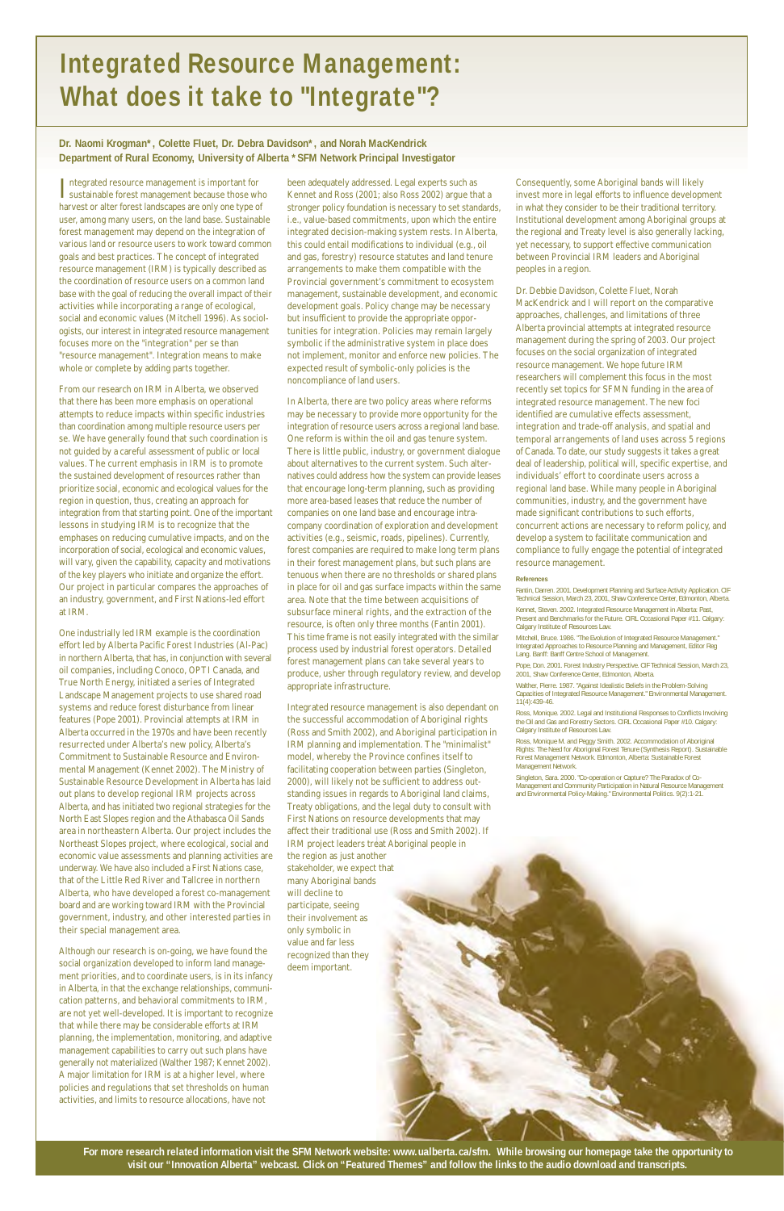Integrated resource management is important for<br>sustainable forest management because those with sustainable forest management because those who harvest or alter forest landscapes are only one type of user, among many users, on the land base. Sustainable forest management may depend on the integration of various land or resource users to work toward common goals and best practices. The concept of integrated resource management (IRM) is typically described as the coordination of resource users on a common land base with the goal of reducing the overall impact of their activities while incorporating a range of ecological, social and economic values (Mitchell 1996). As sociologists, our interest in integrated resource management focuses more on the "integration" per se than "resource management". Integration means to make whole or complete by adding parts together.

From our research on IRM in Alberta, we observed that there has been more emphasis on operational attempts to reduce impacts within specific industries than coordination among multiple resource users per se. We have generally found that such coordination is not guided by a careful assessment of public or local values. The current emphasis in IRM is to promote the sustained development of resources rather than prioritize social, economic and ecological values for the region in question, thus, creating an approach for integration from that starting point. One of the important lessons in studying IRM is to recognize that the emphases on reducing cumulative impacts, and on the incorporation of social, ecological and economic values, will vary, given the capability, capacity and motivations of the key players who initiate and organize the effort. Our project in particular compares the approaches of an industry, government, and First Nations-led effort at IRM.

One industrially led IRM example is the coordination effort led by Alberta Pacific Forest Industries (Al-Pac) in northern Alberta, that has, in conjunction with several oil companies, including Conoco, OPTI Canada, and True North Energy, initiated a series of Integrated Landscape Management projects to use shared road systems and reduce forest disturbance from linear features (Pope 2001). Provincial attempts at IRM in Alberta occurred in the 1970s and have been recently resurrected under Alberta's new policy, Alberta's Commitment to Sustainable Resource and Environmental Management (Kennet 2002). The Ministry of Sustainable Resource Development in Alberta has laid out plans to develop regional IRM projects across Alberta, and has initiated two regional strategies for the North East Slopes region and the Athabasca Oil Sands area in northeastern Alberta. Our project includes the Northeast Slopes project, where ecological, social and economic value assessments and planning activities are underway. We have also included a First Nations case, that of the Little Red River and Tallcree in northern Alberta, who have developed a forest co-management board and are working toward IRM with the Provincial government, industry, and other interested parties in their special management area.

Although our research is on-going, we have found the social organization developed to inform land management priorities, and to coordinate users, is in its infancy in Alberta, in that the exchange relationships, communication patterns, and behavioral commitments to IRM, are not yet well-developed. It is important to recognize that while there may be considerable efforts at IRM planning, the implementation, monitoring, and adaptive management capabilities to carry out such plans have generally not materialized (Walther 1987; Kennet 2002). A major limitation for IRM is at a higher level, where policies and regulations that set thresholds on human activities, and limits to resource allocations, have not



been adequately addressed. Legal experts such as Kennet and Ross (2001; also Ross 2002) argue that a stronger policy foundation is necessary to set standards, i.e., value-based commitments, upon which the entire integrated decision-making system rests. In Alberta, this could entail modifications to individual (e.g., oil and gas, forestry) resource statutes and land tenure arrangements to make them compatible with the Provincial government's commitment to ecosystem management, sustainable development, and economic development goals. Policy change may be necessary but insufficient to provide the appropriate opportunities for integration. Policies may remain largely symbolic if the administrative system in place does not implement, monitor and enforce new policies. The expected result of symbolic-only policies is the noncompliance of land users.

In Alberta, there are two policy areas where reforms may be necessary to provide more opportunity for the integration of resource users across a regional land base. One reform is within the oil and gas tenure system. There is little public, industry, or government dialogue about alternatives to the current system. Such alternatives could address how the system can provide leases that encourage long-term planning, such as providing more area-based leases that reduce the number of companies on one land base and encourage intracompany coordination of exploration and development activities (e.g., seismic, roads, pipelines). Currently, forest companies are required to make long term plans in their forest management plans, but such plans are tenuous when there are no thresholds or shared plans in place for oil and gas surface impacts within the same area. Note that the time between acquisitions of subsurface mineral rights, and the extraction of the resource, is often only three months (Fantin 2001). This time frame is not easily integrated with the similar process used by industrial forest operators. Detailed forest management plans can take several years to produce, usher through regulatory review, and develop appropriate infrastructure.

Integrated resource management is also dependant on the successful accommodation of Aboriginal rights (Ross and Smith 2002), and Aboriginal participation in IRM planning and implementation. The "minimalist" model, whereby the Province confines itself to facilitating cooperation between parties (Singleton, 2000), will likely not be sufficient to address outstanding issues in regards to Aboriginal land claims, Treaty obligations, and the legal duty to consult with First Nations on resource developments that may affect their traditional use (Ross and Smith 2002). If IRM project leaders treat Aboriginal people in the region as just another stakeholder, we expect that many Aboriginal bands will decline to participate, seeing their involvement as only symbolic in value and far less recognized than they deem important.

Consequently, some Aboriginal bands will likely invest more in legal efforts to influence development in what they consider to be their traditional territory. Institutional development among Aboriginal groups at the regional and Treaty level is also generally lacking, yet necessary, to support effective communication between Provincial IRM leaders and Aboriginal peoples in a region.

Dr. Debbie Davidson, Colette Fluet, Norah MacKendrick and I will report on the comparative approaches, challenges, and limitations of three Alberta provincial attempts at integrated resource management during the spring of 2003. Our project focuses on the social organization of integrated resource management. We hope future IRM researchers will complement this focus in the most recently set topics for SFMN funding in the area of integrated resource management. The new foci identified are cumulative effects assessment, integration and trade-off analysis, and spatial and temporal arrangements of land uses across 5 regions of Canada. To date, our study suggests it takes a great deal of leadership, political will, specific expertise, and individuals' effort to coordinate users across a regional land base. While many people in Aboriginal communities, industry, and the government have made significant contributions to such efforts, concurrent actions are necessary to reform policy, and develop a system to facilitate communication and compliance to fully engage the potential of integrated resource management.

#### **References**

Fantin, Darren. 2001. Development Planning and Surface Activity Application. CIF Technical Session, March 23, 2001, Shaw Conference Center, Edmonton, Alberta.

Kennet, Steven. 2002. Integrated Resource Management in Alberta: Past, Present and Benchmarks for the Future. CIRL Occasional Paper #11. Calgary: Calgary Institute of Resources Law.

Mitchell, Bruce. 1986. "The Evolution of Integrated Resource Management." Integrated Approaches to Resource Planning and Management, Editor Reg Lang. Banff: Banff Centre School of Management.

Pope, Don. 2001. Forest Industry Perspective. CIF Technical Session, March 23, 2001, Shaw Conference Center, Edmonton, Alberta.

Walther, Pierre. 1987. "Against Idealistic Beliefs in the Problem-Solving Capacities of Integrated Resource Management." Environmental Management. 11(4):439-46.

Ross, Monique. 2002. Legal and Institutional Responses to Conflicts Involving the Oil and Gas and Forestry Sectors. CIRL Occasional Paper #10. Calgary: Calgary Institute of Resources Law.

Ross, Monique M. and Peggy Smith. 2002. Accommodation of Aboriginal Rights: The Need for Aboriginal Forest Tenure (Synthesis Report). Sustainable Forest Management Network. Edmonton, Alberta: Sustainable Forest Management Network.

Singleton, Sara. 2000. "Co-operation or Capture? The Paradox of Co-Management and Community Participation in Natural Resource Management and Environmental Policy-Making." Environmental Politics. 9(2):1-21.

# **Integrated Resource Management: What does it take to "Integrate"?**

**Dr. Naomi Krogman\*, Colette Fluet, Dr. Debra Davidson\*, and Norah MacKendrick Department of Rural Economy, University of Alberta \*SFM Network Principal Investigator**

**For more research related information visit the SFM Network website: www.ualberta.ca/sfm. While browsing our homepage take the opportunity to visit our "Innovation Alberta" webcast. Click on "Featured Themes" and follow the links to the audio download and transcripts.**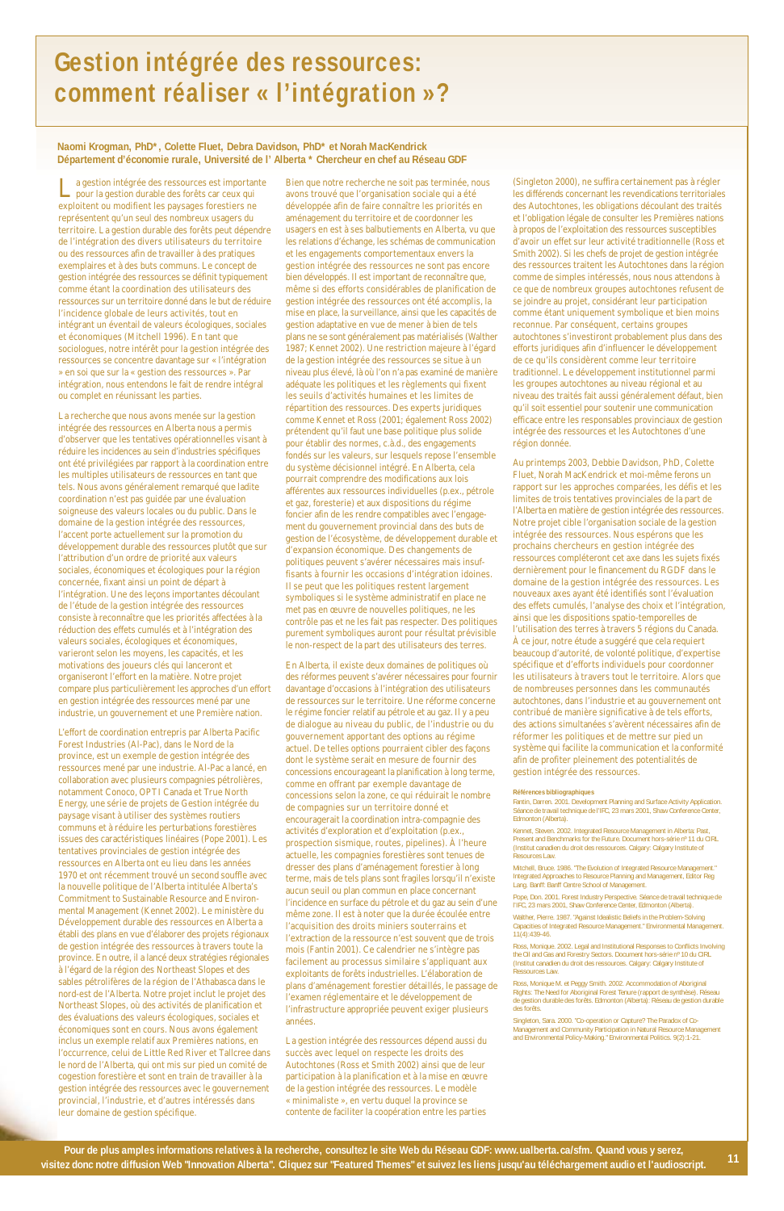La gestion intégrée des ressources est importante pour la gestion durable des forêts car ceux qui exploitent ou modifient les paysages forestiers ne représentent qu'un seul des nombreux usagers du territoire. La gestion durable des forêts peut dépendre de l'intégration des divers utilisateurs du territoire ou des ressources afin de travailler à des pratiques exemplaires et à des buts communs. Le concept de gestion intégrée des ressources se définit typiquement comme étant la coordination des utilisateurs des ressources sur un territoire donné dans le but de réduire l'incidence globale de leurs activités, tout en intégrant un éventail de valeurs écologiques, sociales et économiques (Mitchell 1996). En tant que sociologues, notre intérêt pour la gestion intégrée des ressources se concentre davantage sur « l'intégration » en soi que sur la « gestion des ressources ». Par intégration, nous entendons le fait de rendre intégral ou complet en réunissant les parties.

La recherche que nous avons menée sur la gestion intégrée des ressources en Alberta nous a permis d'observer que les tentatives opérationnelles visant à réduire les incidences au sein d'industries spécifiques ont été privilégiées par rapport à la coordination entre les multiples utilisateurs de ressources en tant que tels. Nous avons généralement remarqué que ladite coordination n'est pas guidée par une évaluation soigneuse des valeurs locales ou du public. Dans le domaine de la gestion intégrée des ressources, l'accent porte actuellement sur la promotion du développement durable des ressources plutôt que sur l'attribution d'un ordre de priorité aux valeurs sociales, économiques et écologiques pour la région concernée, fixant ainsi un point de départ à l'intégration. Une des leçons importantes découlant de l'étude de la gestion intégrée des ressources consiste à reconnaître que les priorités affectées à la réduction des effets cumulés et à l'intégration des valeurs sociales, écologiques et économiques, varieront selon les moyens, les capacités, et les motivations des joueurs clés qui lanceront et organiseront l'effort en la matière. Notre projet compare plus particulièrement les approches d'un effort en gestion intégrée des ressources mené par une industrie, un gouvernement et une Première nation.

L'effort de coordination entrepris par Alberta Pacific Forest Industries (Al-Pac), dans le Nord de la province, est un exemple de gestion intégrée des ressources mené par une industrie. Al-Pac a lancé, en collaboration avec plusieurs compagnies pétrolières, notamment Conoco, OPTI Canada et True North Energy, une série de projets de Gestion intégrée du paysage visant à utiliser des systèmes routiers communs et à réduire les perturbations forestières issues des caractéristiques linéaires (Pope 2001). Les tentatives provinciales de gestion intégrée des ressources en Alberta ont eu lieu dans les années 1970 et ont récemment trouvé un second souffle avec la nouvelle politique de l'Alberta intitulée Alberta's Commitment to Sustainable Resource and Environmental Management (Kennet 2002). Le ministère du Développement durable des ressources en Alberta a établi des plans en vue d'élaborer des projets régionaux de gestion intégrée des ressources à travers toute la province. En outre, il a lancé deux stratégies régionales à l'égard de la région des Northeast Slopes et des sables pétrolifères de la région de l'Athabasca dans le nord-est de l'Alberta. Notre projet inclut le projet des Northeast Slopes, où des activités de planification et des évaluations des valeurs écologiques, sociales et économiques sont en cours. Nous avons également inclus un exemple relatif aux Premières nations, en l'occurrence, celui de Little Red River et Tallcree dans le nord de l'Alberta, qui ont mis sur pied un comité de cogestion forestière et sont en train de travailler à la gestion intégrée des ressources avec le gouvernement provincial, l'industrie, et d'autres intéressés dans leur domaine de gestion spécifique.

Bien que notre recherche ne soit pas terminée, nous avons trouvé que l'organisation sociale qui a été développée afin de faire connaître les priorités en aménagement du territoire et de coordonner les usagers en est à ses balbutiements en Alberta, vu que les relations d'échange, les schémas de communication et les engagements comportementaux envers la gestion intégrée des ressources ne sont pas encore bien développés. Il est important de reconnaître que, même si des efforts considérables de planification de gestion intégrée des ressources ont été accomplis, la mise en place, la surveillance, ainsi que les capacités de gestion adaptative en vue de mener à bien de tels plans ne se sont généralement pas matérialisés (Walther 1987; Kennet 2002). Une restriction majeure à l'égard de la gestion intégrée des ressources se situe à un niveau plus élevé, là où l'on n'a pas examiné de manière adéquate les politiques et les règlements qui fixent les seuils d'activités humaines et les limites de répartition des ressources. Des experts juridiques comme Kennet et Ross (2001; également Ross 2002) prétendent qu'il faut une base politique plus solide pour établir des normes, c.à.d., des engagements fondés sur les valeurs, sur lesquels repose l'ensemble du système décisionnel intégré. En Alberta, cela pourrait comprendre des modifications aux lois afférentes aux ressources individuelles (p.ex., pétrole et gaz, foresterie) et aux dispositions du régime foncier afin de les rendre compatibles avec l'engagement du gouvernement provincial dans des buts de gestion de l'écosystème, de développement durable et d'expansion économique. Des changements de politiques peuvent s'avérer nécessaires mais insuffisants à fournir les occasions d'intégration idoines. Il se peut que les politiques restent largement symboliques si le système administratif en place ne met pas en œuvre de nouvelles politiques, ne les contrôle pas et ne les fait pas respecter. Des politiques purement symboliques auront pour résultat prévisible le non-respect de la part des utilisateurs des terres.

> Mitchell, Bruce. 1986. "The Evolution of Integrated Resource Management." Integrated Approaches to Resource Planning and Management, Editor Reg Lang. Banff: Banff Centre School of Management.

En Alberta, il existe deux domaines de politiques où des réformes peuvent s'avérer nécessaires pour fournir davantage d'occasions à l'intégration des utilisateurs de ressources sur le territoire. Une réforme concerne le régime foncier relatif au pétrole et au gaz. Il y a peu de dialogue au niveau du public, de l'industrie ou du gouvernement apportant des options au régime actuel. De telles options pourraient cibler des façons dont le système serait en mesure de fournir des concessions encourageant la planification à long terme, comme en offrant par exemple davantage de concessions selon la zone, ce qui réduirait le nombre de compagnies sur un territoire donné et encouragerait la coordination intra-compagnie des activités d'exploration et d'exploitation (p.ex., prospection sismique, routes, pipelines). À l'heure actuelle, les compagnies forestières sont tenues de dresser des plans d'aménagement forestier à long terme, mais de tels plans sont fragiles lorsqu'il n'existe aucun seuil ou plan commun en place concernant l'incidence en surface du pétrole et du gaz au sein d'une même zone. Il est à noter que la durée écoulée entre l'acquisition des droits miniers souterrains et l'extraction de la ressource n'est souvent que de trois mois (Fantin 2001). Ce calendrier ne s'intègre pas facilement au processus similaire s'appliquant aux exploitants de forêts industrielles. L'élaboration de plans d'aménagement forestier détaillés, le passage de l'examen réglementaire et le développement de l'infrastructure appropriée peuvent exiger plusieurs années.

La gestion intégrée des ressources dépend aussi du succès avec lequel on respecte les droits des Autochtones (Ross et Smith 2002) ainsi que de leur participation à la planification et à la mise en œuvre de la gestion intégrée des ressources. Le modèle « minimaliste », en vertu duquel la province se contente de faciliter la coopération entre les parties

(Singleton 2000), ne suffira certainement pas à régler les différends concernant les revendications territoriales des Autochtones, les obligations découlant des traités et l'obligation légale de consulter les Premières nations à propos de l'exploitation des ressources susceptibles d'avoir un effet sur leur activité traditionnelle (Ross et Smith 2002). Si les chefs de projet de gestion intégrée des ressources traitent les Autochtones dans la région comme de simples intéressés, nous nous attendons à ce que de nombreux groupes autochtones refusent de se joindre au projet, considérant leur participation comme étant uniquement symbolique et bien moins reconnue. Par conséquent, certains groupes autochtones s'investiront probablement plus dans des efforts juridiques afin d'influencer le développement de ce qu'ils considèrent comme leur territoire traditionnel. Le développement institutionnel parmi les groupes autochtones au niveau régional et au niveau des traités fait aussi généralement défaut, bien qu'il soit essentiel pour soutenir une communication efficace entre les responsables provinciaux de gestion intégrée des ressources et les Autochtones d'une région donnée.

Au printemps 2003, Debbie Davidson, PhD, Colette Fluet, Norah MacKendrick et moi-même ferons un rapport sur les approches comparées, les défis et les limites de trois tentatives provinciales de la part de l'Alberta en matière de gestion intégrée des ressources. Notre projet cible l'organisation sociale de la gestion intégrée des ressources. Nous espérons que les prochains chercheurs en gestion intégrée des ressources compléteront cet axe dans les sujets fixés dernièrement pour le financement du RGDF dans le domaine de la gestion intégrée des ressources. Les nouveaux axes ayant été identifiés sont l'évaluation des effets cumulés, l'analyse des choix et l'intégration, ainsi que les dispositions spatio-temporelles de l'utilisation des terres à travers 5 régions du Canada. À ce jour, notre étude a suggéré que cela requiert beaucoup d'autorité, de volonté politique, d'expertise spécifique et d'efforts individuels pour coordonner les utilisateurs à travers tout le territoire. Alors que de nombreuses personnes dans les communautés autochtones, dans l'industrie et au gouvernement ont contribué de manière significative à de tels efforts, des actions simultanées s'avèrent nécessaires afin de réformer les politiques et de mettre sur pied un système qui facilite la communication et la conformité afin de profiter pleinement des potentialités de gestion intégrée des ressources.

#### **Références bibliographiques**

Fantin, Darren. 2001. Development Planning and Surface Activity Application. Séance de travail technique de l'IFC, 23 mars 2001, Shaw Conference Center, Edmonton (Alberta).

Kennet, Steven. 2002. Integrated Resource Management in Alberta: Past, Present and Benchmarks for the Future. Document hors-série nº 11 du CIRL (Institut canadien du droit des ressources. Calgary: Calgary Institute of Resources Law.

Pope, Don. 2001. Forest Industry Perspective. Séance de travail technique de l'IFC, 23 mars 2001, Shaw Conference Center, Edmonton (Alberta).

Walther, Pierre. 1987. "Against Idealistic Beliefs in the Problem-Solving Capacities of Integrated Resource Management." Environmental Management. 11(4):439-46.

Ross, Monique. 2002. Legal and Institutional Responses to Conflicts Involving the Oil and Gas and Forestry Sectors. Document hors-série nº 10 du CIRL (Institut canadien du droit des ressources. Calgary: Calgary Institute of Ressources Law.

Ross, Monique M. et Peggy Smith. 2002. Accommodation of Aboriginal Rights: The Need for Aboriginal Forest Tenure (rapport de synthèse). Réseau de gestion durable des forêts. Edmonton (Alberta): Réseau de gestion durable des forêts.

Singleton, Sara. 2000. "Co-operation or Capture? The Paradox of Co-Management and Community Participation in Natural Resource Management and Environmental Policy-Making." Environmental Politics. 9(2):1-21.

## **Gestion intégrée des ressources: comment réaliser « l'intégration »?**

#### **Naomi Krogman, PhD\*, Colette Fluet, Debra Davidson, PhD\* et Norah MacKendrick Département d'économie rurale, Université de l' Alberta \* Chercheur en chef au Réseau GDF**

**Pour de plus amples informations relatives à la recherche, consultez le site Web du Réseau GDF: www.ualberta.ca/sfm. Quand vous y serez, visitez donc notre diffusion Web "Innovation Alberta". Cliquez sur "Featured Themes" et suivez les liens jusqu'au téléchargement audio et l'audioscript.**